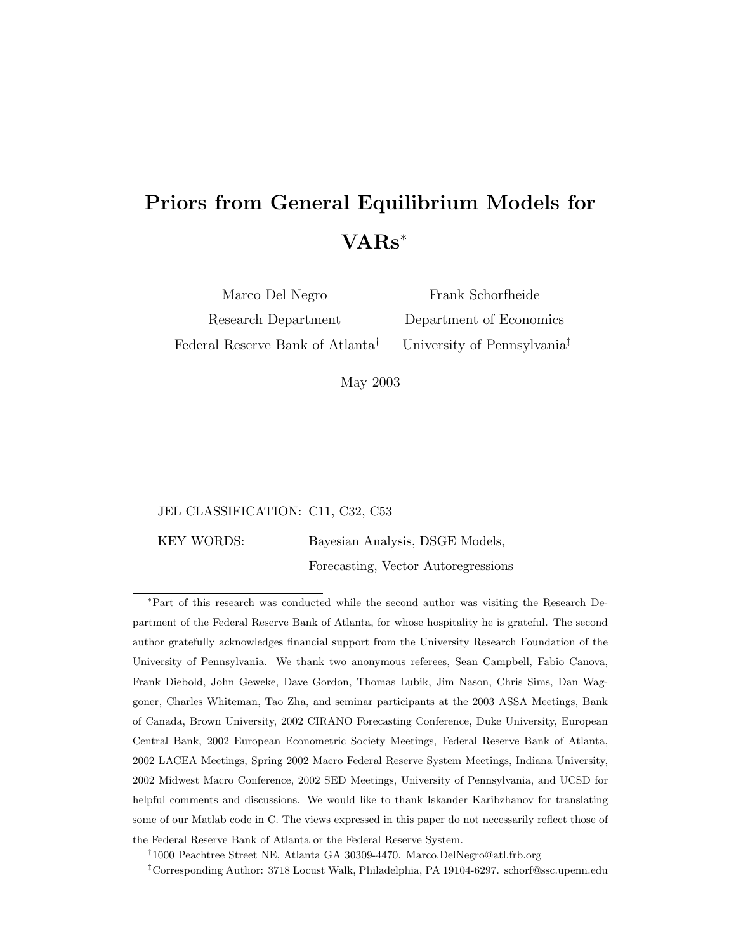# Priors from General Equilibrium Models for VARs<sup>∗</sup>

Marco Del Negro Research Department Federal Reserve Bank of Atlanta†

Frank Schorfheide Department of Economics University of Pennsylvania‡

May 2003

### JEL CLASSIFICATION: C11, C32, C53

KEY WORDS: Bayesian Analysis, DSGE Models,

Forecasting, Vector Autoregressions

<sup>∗</sup>Part of this research was conducted while the second author was visiting the Research Department of the Federal Reserve Bank of Atlanta, for whose hospitality he is grateful. The second author gratefully acknowledges financial support from the University Research Foundation of the University of Pennsylvania. We thank two anonymous referees, Sean Campbell, Fabio Canova, Frank Diebold, John Geweke, Dave Gordon, Thomas Lubik, Jim Nason, Chris Sims, Dan Waggoner, Charles Whiteman, Tao Zha, and seminar participants at the 2003 ASSA Meetings, Bank of Canada, Brown University, 2002 CIRANO Forecasting Conference, Duke University, European Central Bank, 2002 European Econometric Society Meetings, Federal Reserve Bank of Atlanta, 2002 LACEA Meetings, Spring 2002 Macro Federal Reserve System Meetings, Indiana University, 2002 Midwest Macro Conference, 2002 SED Meetings, University of Pennsylvania, and UCSD for helpful comments and discussions. We would like to thank Iskander Karibzhanov for translating some of our Matlab code in C. The views expressed in this paper do not necessarily reflect those of the Federal Reserve Bank of Atlanta or the Federal Reserve System.

† 1000 Peachtree Street NE, Atlanta GA 30309-4470. Marco.DelNegro@atl.frb.org

‡Corresponding Author: 3718 Locust Walk, Philadelphia, PA 19104-6297. schorf@ssc.upenn.edu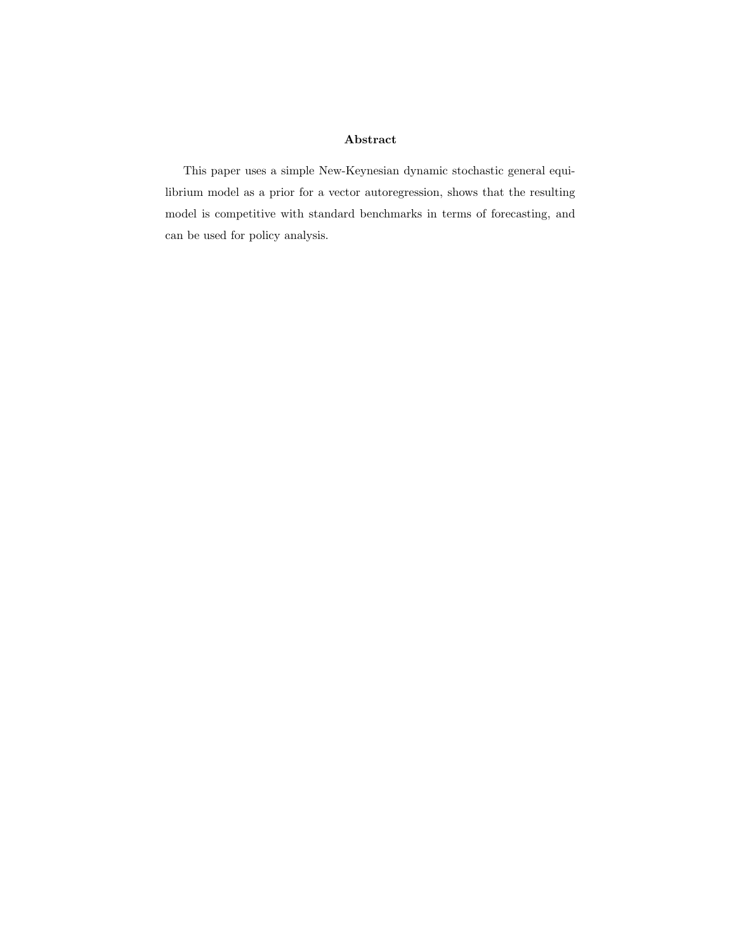## Abstract

This paper uses a simple New-Keynesian dynamic stochastic general equilibrium model as a prior for a vector autoregression, shows that the resulting model is competitive with standard benchmarks in terms of forecasting, and can be used for policy analysis.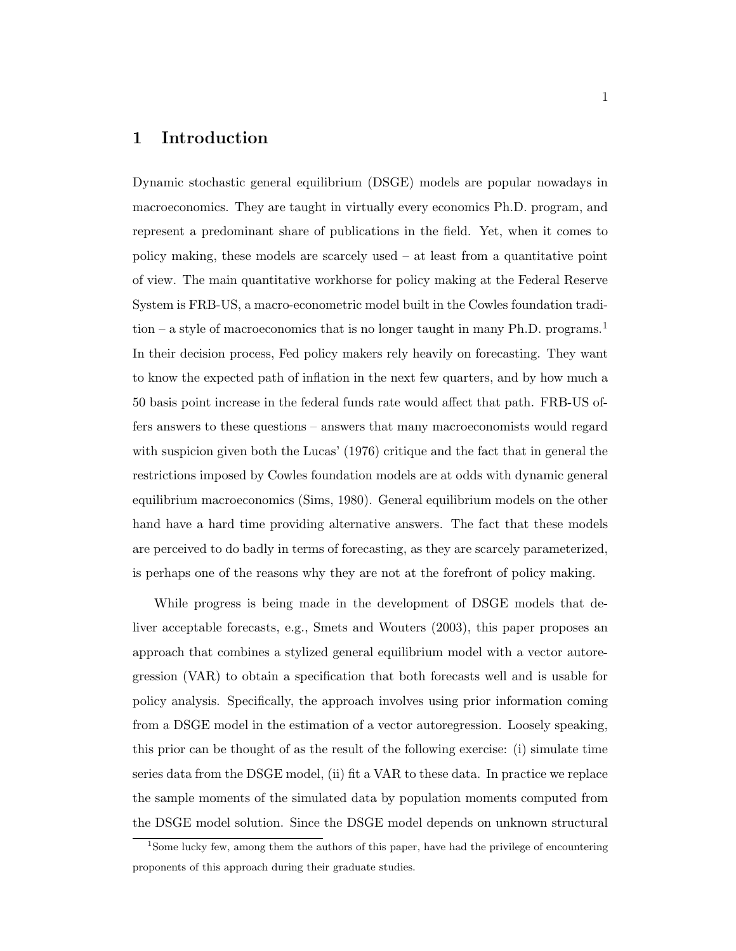# 1 Introduction

Dynamic stochastic general equilibrium (DSGE) models are popular nowadays in macroeconomics. They are taught in virtually every economics Ph.D. program, and represent a predominant share of publications in the field. Yet, when it comes to policy making, these models are scarcely used – at least from a quantitative point of view. The main quantitative workhorse for policy making at the Federal Reserve System is FRB-US, a macro-econometric model built in the Cowles foundation tradition – a style of macroeconomics that is no longer taught in many Ph.D. programs.<sup>1</sup> In their decision process, Fed policy makers rely heavily on forecasting. They want to know the expected path of inflation in the next few quarters, and by how much a 50 basis point increase in the federal funds rate would affect that path. FRB-US offers answers to these questions – answers that many macroeconomists would regard with suspicion given both the Lucas' (1976) critique and the fact that in general the restrictions imposed by Cowles foundation models are at odds with dynamic general equilibrium macroeconomics (Sims, 1980). General equilibrium models on the other hand have a hard time providing alternative answers. The fact that these models are perceived to do badly in terms of forecasting, as they are scarcely parameterized, is perhaps one of the reasons why they are not at the forefront of policy making.

While progress is being made in the development of DSGE models that deliver acceptable forecasts, e.g., Smets and Wouters (2003), this paper proposes an approach that combines a stylized general equilibrium model with a vector autoregression (VAR) to obtain a specification that both forecasts well and is usable for policy analysis. Specifically, the approach involves using prior information coming from a DSGE model in the estimation of a vector autoregression. Loosely speaking, this prior can be thought of as the result of the following exercise: (i) simulate time series data from the DSGE model, (ii) fit a VAR to these data. In practice we replace the sample moments of the simulated data by population moments computed from the DSGE model solution. Since the DSGE model depends on unknown structural

<sup>1</sup>Some lucky few, among them the authors of this paper, have had the privilege of encountering proponents of this approach during their graduate studies.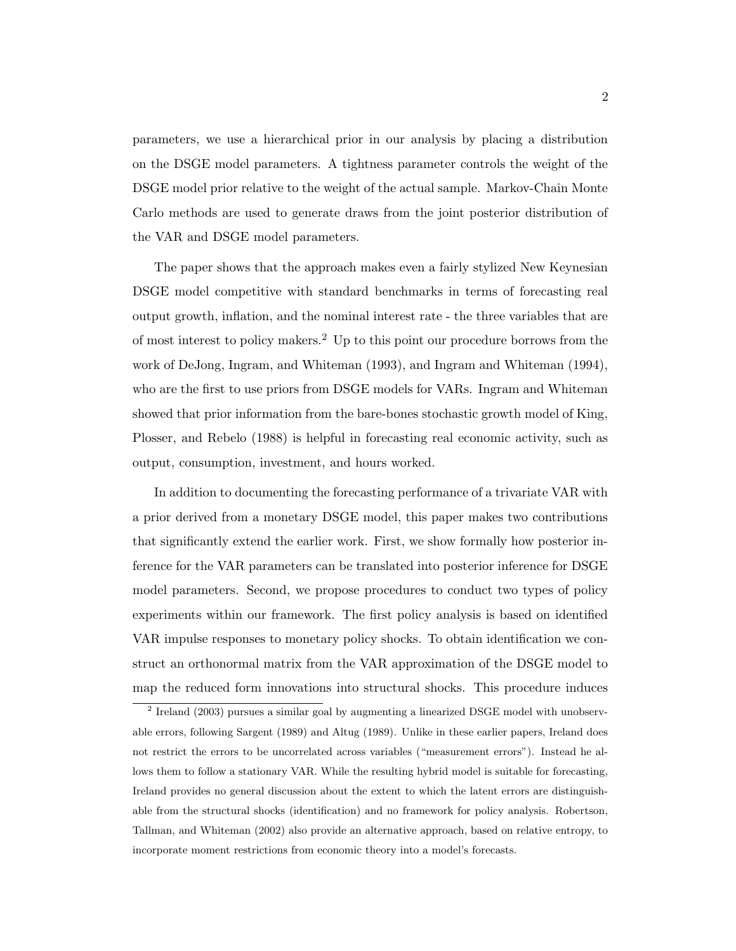parameters, we use a hierarchical prior in our analysis by placing a distribution on the DSGE model parameters. A tightness parameter controls the weight of the DSGE model prior relative to the weight of the actual sample. Markov-Chain Monte Carlo methods are used to generate draws from the joint posterior distribution of the VAR and DSGE model parameters.

The paper shows that the approach makes even a fairly stylized New Keynesian DSGE model competitive with standard benchmarks in terms of forecasting real output growth, inflation, and the nominal interest rate - the three variables that are of most interest to policy makers.<sup>2</sup> Up to this point our procedure borrows from the work of DeJong, Ingram, and Whiteman (1993), and Ingram and Whiteman (1994), who are the first to use priors from DSGE models for VARs. Ingram and Whiteman showed that prior information from the bare-bones stochastic growth model of King, Plosser, and Rebelo (1988) is helpful in forecasting real economic activity, such as output, consumption, investment, and hours worked.

In addition to documenting the forecasting performance of a trivariate VAR with a prior derived from a monetary DSGE model, this paper makes two contributions that significantly extend the earlier work. First, we show formally how posterior inference for the VAR parameters can be translated into posterior inference for DSGE model parameters. Second, we propose procedures to conduct two types of policy experiments within our framework. The first policy analysis is based on identified VAR impulse responses to monetary policy shocks. To obtain identification we construct an orthonormal matrix from the VAR approximation of the DSGE model to map the reduced form innovations into structural shocks. This procedure induces

<sup>&</sup>lt;sup>2</sup> Ireland (2003) pursues a similar goal by augmenting a linearized DSGE model with unobservable errors, following Sargent (1989) and Altug (1989). Unlike in these earlier papers, Ireland does not restrict the errors to be uncorrelated across variables ("measurement errors"). Instead he allows them to follow a stationary VAR. While the resulting hybrid model is suitable for forecasting, Ireland provides no general discussion about the extent to which the latent errors are distinguishable from the structural shocks (identification) and no framework for policy analysis. Robertson, Tallman, and Whiteman (2002) also provide an alternative approach, based on relative entropy, to incorporate moment restrictions from economic theory into a model's forecasts.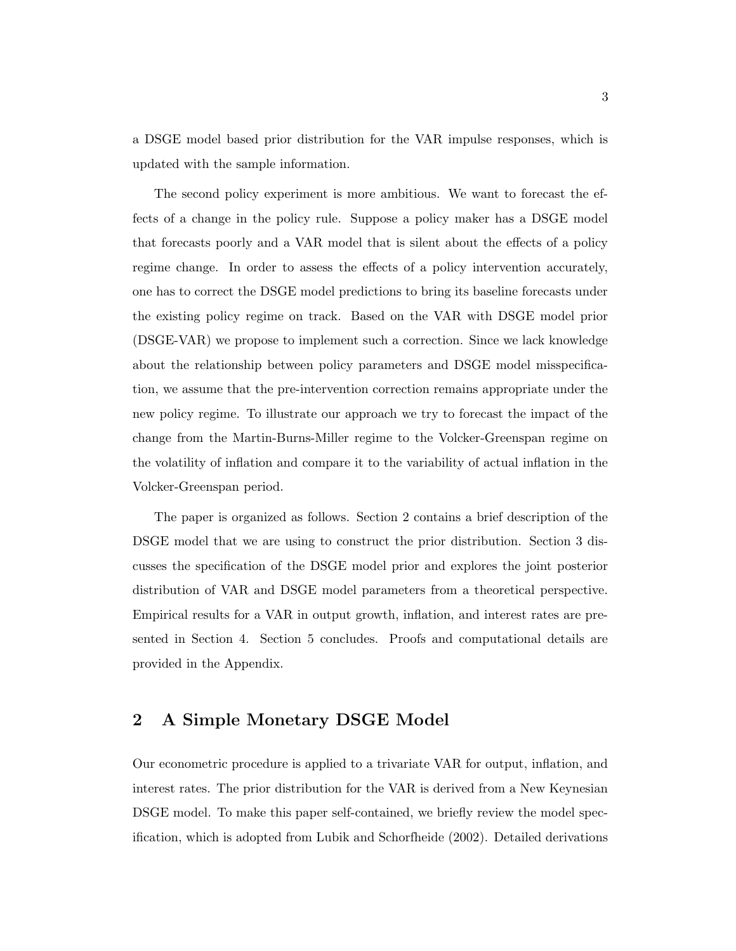a DSGE model based prior distribution for the VAR impulse responses, which is updated with the sample information.

The second policy experiment is more ambitious. We want to forecast the effects of a change in the policy rule. Suppose a policy maker has a DSGE model that forecasts poorly and a VAR model that is silent about the effects of a policy regime change. In order to assess the effects of a policy intervention accurately, one has to correct the DSGE model predictions to bring its baseline forecasts under the existing policy regime on track. Based on the VAR with DSGE model prior (DSGE-VAR) we propose to implement such a correction. Since we lack knowledge about the relationship between policy parameters and DSGE model misspecification, we assume that the pre-intervention correction remains appropriate under the new policy regime. To illustrate our approach we try to forecast the impact of the change from the Martin-Burns-Miller regime to the Volcker-Greenspan regime on the volatility of inflation and compare it to the variability of actual inflation in the Volcker-Greenspan period.

The paper is organized as follows. Section 2 contains a brief description of the DSGE model that we are using to construct the prior distribution. Section 3 discusses the specification of the DSGE model prior and explores the joint posterior distribution of VAR and DSGE model parameters from a theoretical perspective. Empirical results for a VAR in output growth, inflation, and interest rates are presented in Section 4. Section 5 concludes. Proofs and computational details are provided in the Appendix.

# 2 A Simple Monetary DSGE Model

Our econometric procedure is applied to a trivariate VAR for output, inflation, and interest rates. The prior distribution for the VAR is derived from a New Keynesian DSGE model. To make this paper self-contained, we briefly review the model specification, which is adopted from Lubik and Schorfheide (2002). Detailed derivations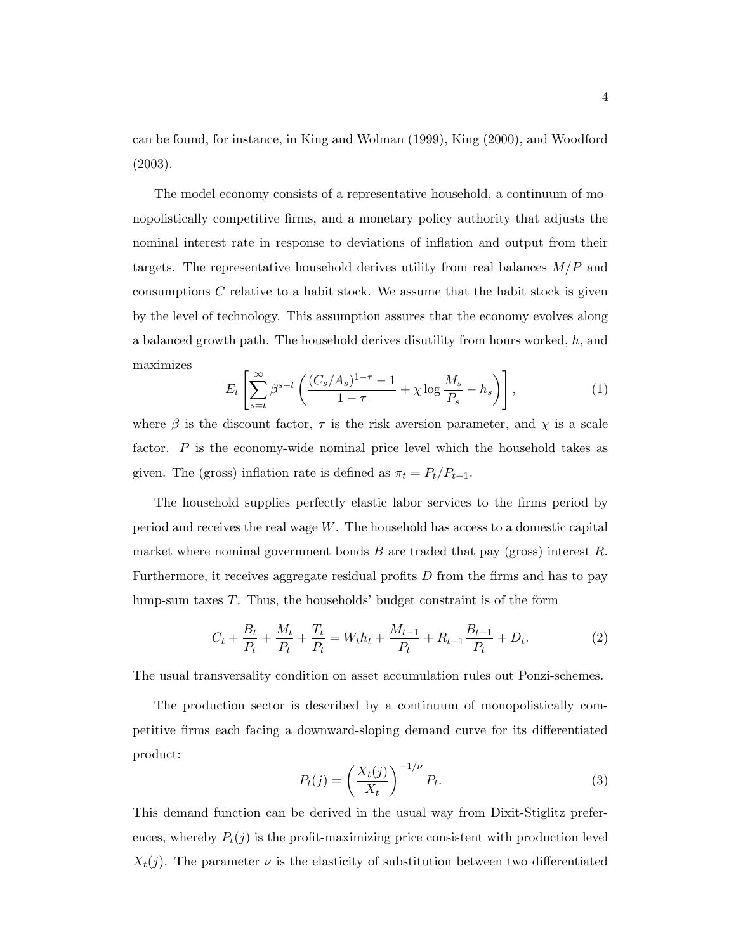can be found, for instance, in King and Wolman (1999), King (2000), and Woodford (2003).

The model economy consists of a representative household, a continuum of monopolistically competitive firms, and a monetary policy authority that adjusts the nominal interest rate in response to deviations of inflation and output from their targets. The representative household derives utility from real balances  $M/P$  and consumptions  $C$  relative to a habit stock. We assume that the habit stock is given by the level of technology. This assumption assures that the economy evolves along a balanced growth path. The household derives disutility from hours worked,  $h$ , and maximizes

$$
E_t\left[\sum_{s=t}^{\infty} \beta^{s-t} \left(\frac{(C_s/A_s)^{1-\tau}-1}{1-\tau} + \chi \log \frac{M_s}{P_s} - h_s\right)\right],\tag{1}
$$

where  $\beta$  is the discount factor,  $\tau$  is the risk aversion parameter, and  $\chi$  is a scale factor.  $P$  is the economy-wide nominal price level which the household takes as given. The (gross) inflation rate is defined as  $\pi_t = P_t/P_{t-1}$ .

The household supplies perfectly elastic labor services to the firms period by period and receives the real wage  $W$ . The household has access to a domestic capital market where nominal government bonds  $B$  are traded that pay (gross) interest  $R$ . Furthermore, it receives aggregate residual profits  $D$  from the firms and has to pay lump-sum taxes  $T$ . Thus, the households' budget constraint is of the form

$$
C_t + \frac{B_t}{P_t} + \frac{M_t}{P_t} + \frac{T_t}{P_t} = W_t h_t + \frac{M_{t-1}}{P_t} + R_{t-1} \frac{B_{t-1}}{P_t} + D_t.
$$
 (2)

The usual transversality condition on asset accumulation rules out Ponzi-schemes.

The production sector is described by a continuum of monopolistically competitive firms each facing a downward-sloping demand curve for its differentiated product:

$$
P_t(j) = \left(\frac{X_t(j)}{X_t}\right)^{-1/\nu} P_t.
$$
\n(3)

This demand function can be derived in the usual way from Dixit-Stiglitz preferences, whereby  $P_t(j)$  is the profit-maximizing price consistent with production level  $X_t(j)$ . The parameter  $\nu$  is the elasticity of substitution between two differentiated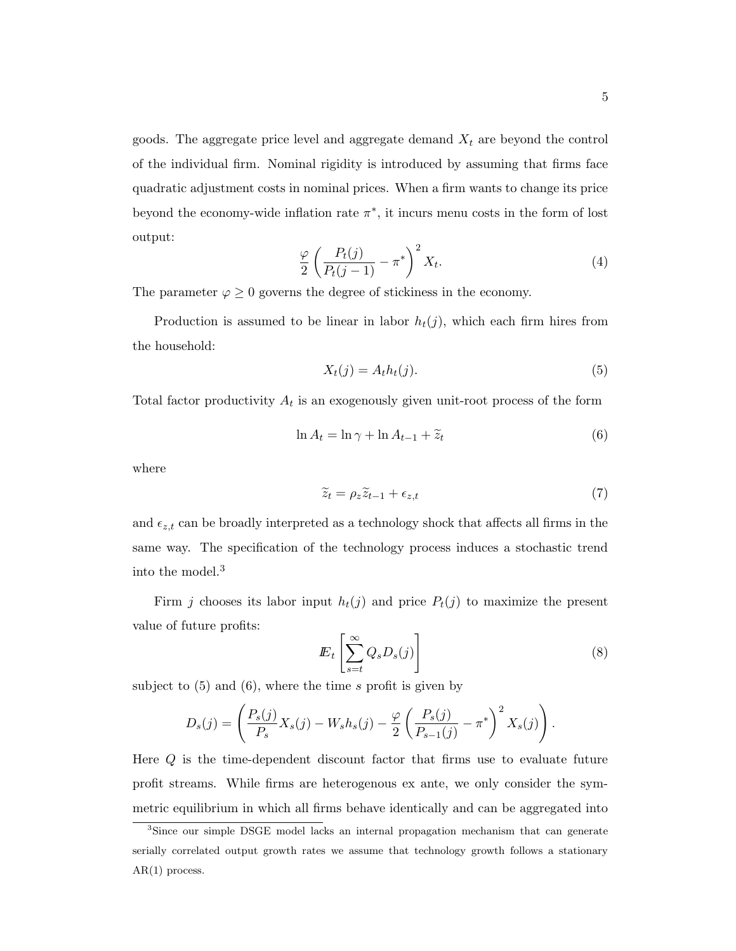goods. The aggregate price level and aggregate demand  $X_t$  are beyond the control of the individual firm. Nominal rigidity is introduced by assuming that firms face quadratic adjustment costs in nominal prices. When a firm wants to change its price beyond the economy-wide inflation rate  $\pi^*$ , it incurs menu costs in the form of lost output:

$$
\frac{\varphi}{2} \left( \frac{P_t(j)}{P_t(j-1)} - \pi^* \right)^2 X_t.
$$
\n(4)

The parameter  $\varphi \geq 0$  governs the degree of stickiness in the economy.

Production is assumed to be linear in labor  $h_t(j)$ , which each firm hires from the household:

$$
X_t(j) = A_t h_t(j). \tag{5}
$$

Total factor productivity  $A_t$  is an exogenously given unit-root process of the form

$$
\ln A_t = \ln \gamma + \ln A_{t-1} + \widetilde{z}_t \tag{6}
$$

where

$$
\widetilde{z}_t = \rho_z \widetilde{z}_{t-1} + \epsilon_{z,t} \tag{7}
$$

and  $\epsilon_{z,t}$  can be broadly interpreted as a technology shock that affects all firms in the same way. The specification of the technology process induces a stochastic trend into the model.<sup>3</sup>

Firm j chooses its labor input  $h_t(j)$  and price  $P_t(j)$  to maximize the present value of future profits:

$$
E_t\left[\sum_{s=t}^{\infty} Q_s D_s(j)\right]
$$
 (8)

subject to  $(5)$  and  $(6)$ , where the time s profit is given by

$$
D_s(j) = \left(\frac{P_s(j)}{P_s}X_s(j) - W_s h_s(j) - \frac{\varphi}{2}\left(\frac{P_s(j)}{P_{s-1}(j)} - \pi^*\right)^2 X_s(j)\right).
$$

Here Q is the time-dependent discount factor that firms use to evaluate future profit streams. While firms are heterogenous ex ante, we only consider the symmetric equilibrium in which all firms behave identically and can be aggregated into

<sup>3</sup>Since our simple DSGE model lacks an internal propagation mechanism that can generate serially correlated output growth rates we assume that technology growth follows a stationary AR(1) process.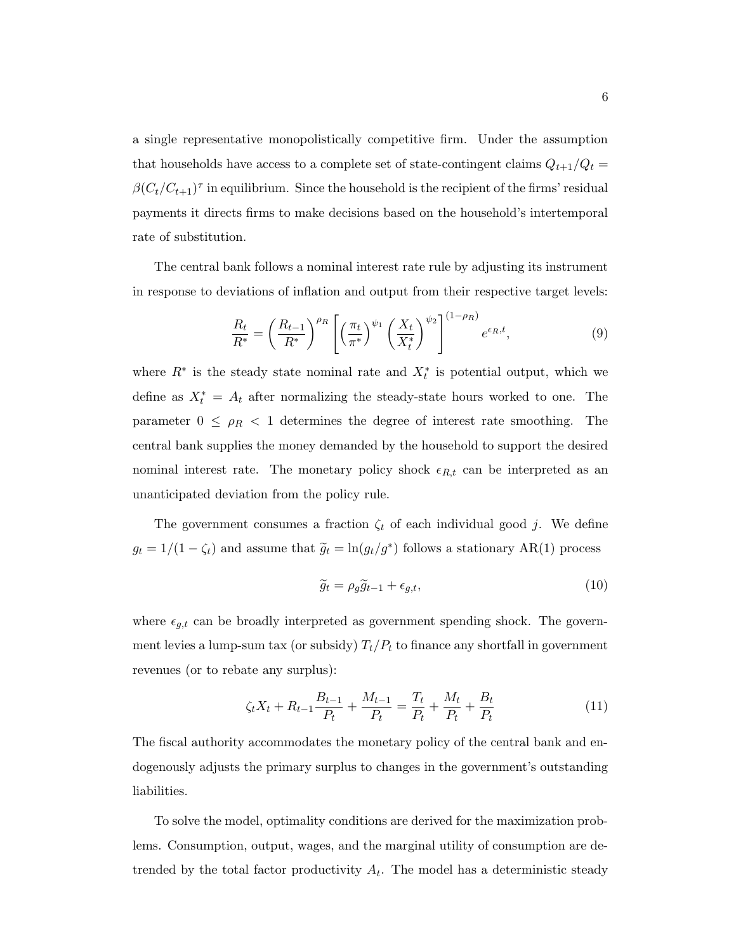a single representative monopolistically competitive firm. Under the assumption that households have access to a complete set of state-contingent claims  $Q_{t+1}/Q_t =$  $\beta (C_t/C_{t+1})^{\tau}$  in equilibrium. Since the household is the recipient of the firms' residual payments it directs firms to make decisions based on the household's intertemporal rate of substitution.

The central bank follows a nominal interest rate rule by adjusting its instrument in response to deviations of inflation and output from their respective target levels:

$$
\frac{R_t}{R^*} = \left(\frac{R_{t-1}}{R^*}\right)^{\rho_R} \left[ \left(\frac{\pi_t}{\pi^*}\right)^{\psi_1} \left(\frac{X_t}{X_t^*}\right)^{\psi_2} \right]^{(1-\rho_R)} e^{\epsilon_R, t},\tag{9}
$$

where  $R^*$  is the steady state nominal rate and  $X_t^*$  is potential output, which we define as  $X_t^* = A_t$  after normalizing the steady-state hours worked to one. The parameter  $0 \leq \rho_R < 1$  determines the degree of interest rate smoothing. The central bank supplies the money demanded by the household to support the desired nominal interest rate. The monetary policy shock  $\epsilon_{R,t}$  can be interpreted as an unanticipated deviation from the policy rule.

The government consumes a fraction  $\zeta_t$  of each individual good j. We define  $g_t = 1/(1 - \zeta_t)$  and assume that  $\tilde{g}_t = \ln(g_t/g^*)$  follows a stationary AR(1) process

$$
\widetilde{g}_t = \rho_g \widetilde{g}_{t-1} + \epsilon_{g,t},\tag{10}
$$

where  $\epsilon_{g,t}$  can be broadly interpreted as government spending shock. The government levies a lump-sum tax (or subsidy)  $T_t/P_t$  to finance any shortfall in government revenues (or to rebate any surplus):

$$
\zeta_t X_t + R_{t-1} \frac{B_{t-1}}{P_t} + \frac{M_{t-1}}{P_t} = \frac{T_t}{P_t} + \frac{M_t}{P_t} + \frac{B_t}{P_t}
$$
\n(11)

The fiscal authority accommodates the monetary policy of the central bank and endogenously adjusts the primary surplus to changes in the government's outstanding liabilities.

To solve the model, optimality conditions are derived for the maximization problems. Consumption, output, wages, and the marginal utility of consumption are detrended by the total factor productivity  $A_t$ . The model has a deterministic steady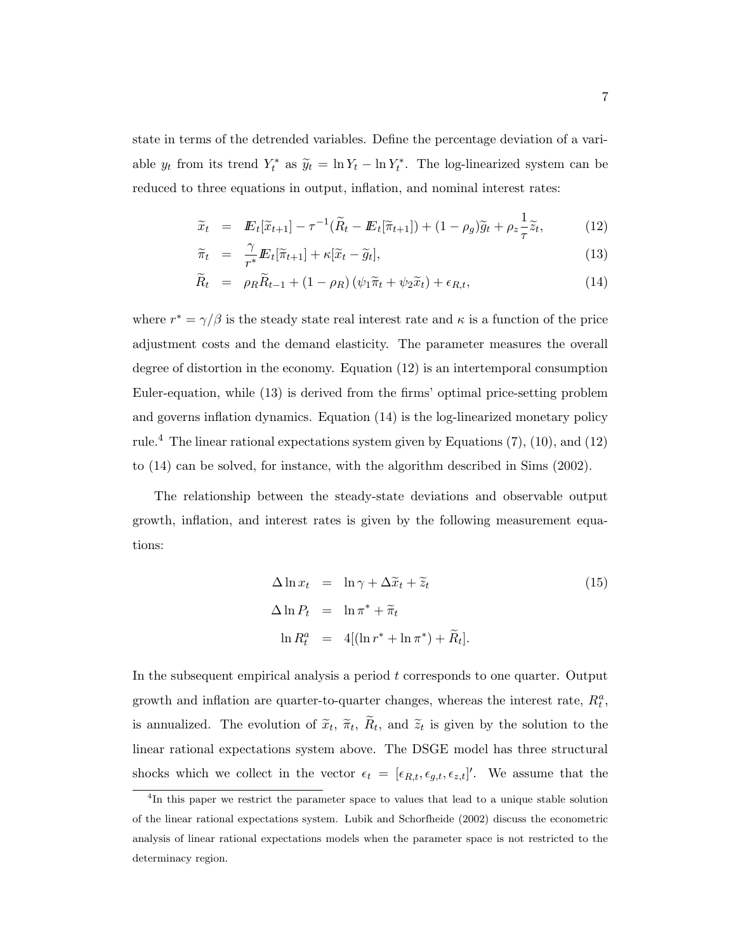state in terms of the detrended variables. Define the percentage deviation of a variable  $y_t$  from its trend  $Y_t^*$  as  $\tilde{y}_t = \ln Y_t - \ln Y_t^*$ . The log-linearized system can be reduced to three equations in output, inflation, and nominal interest rates:

$$
\widetilde{x}_t = \mathbf{E}_t[\widetilde{x}_{t+1}] - \tau^{-1}(\widetilde{R}_t - \mathbf{E}_t[\widetilde{\pi}_{t+1}]) + (1 - \rho_g)\widetilde{g}_t + \rho_z \frac{1}{\tau} \widetilde{z}_t, \tag{12}
$$

$$
\widetilde{\pi}_t = \frac{\gamma}{r^*} \mathbf{E}_t[\widetilde{\pi}_{t+1}] + \kappa[\widetilde{x}_t - \widetilde{g}_t], \tag{13}
$$

$$
\widetilde{R}_t = \rho_R \widetilde{R}_{t-1} + (1 - \rho_R) (\psi_1 \widetilde{\pi}_t + \psi_2 \widetilde{x}_t) + \epsilon_{R,t}, \tag{14}
$$

where  $r^* = \gamma/\beta$  is the steady state real interest rate and  $\kappa$  is a function of the price adjustment costs and the demand elasticity. The parameter measures the overall degree of distortion in the economy. Equation (12) is an intertemporal consumption Euler-equation, while (13) is derived from the firms' optimal price-setting problem and governs inflation dynamics. Equation (14) is the log-linearized monetary policy rule.<sup>4</sup> The linear rational expectations system given by Equations  $(7)$ ,  $(10)$ , and  $(12)$ to (14) can be solved, for instance, with the algorithm described in Sims (2002).

The relationship between the steady-state deviations and observable output growth, inflation, and interest rates is given by the following measurement equations:

$$
\Delta \ln x_t = \ln \gamma + \Delta \tilde{x}_t + \tilde{z}_t
$$
\n
$$
\Delta \ln P_t = \ln \pi^* + \tilde{\pi}_t
$$
\n
$$
\ln R_t^a = 4[(\ln r^* + \ln \pi^*) + \tilde{R}_t].
$$
\n(15)

In the subsequent empirical analysis a period  $t$  corresponds to one quarter. Output growth and inflation are quarter-to-quarter changes, whereas the interest rate,  $R_t^a$ , is annualized. The evolution of  $\tilde{x}_t$ ,  $\tilde{\pi}_t$ ,  $R_t$ , and  $\tilde{z}_t$  is given by the solution to the linear rational expectations system above. The DSGE model has three structural shocks which we collect in the vector  $\epsilon_t = [\epsilon_{R,t}, \epsilon_{g,t}, \epsilon_{z,t}]'$ . We assume that the

<sup>&</sup>lt;sup>4</sup>In this paper we restrict the parameter space to values that lead to a unique stable solution of the linear rational expectations system. Lubik and Schorfheide (2002) discuss the econometric analysis of linear rational expectations models when the parameter space is not restricted to the determinacy region.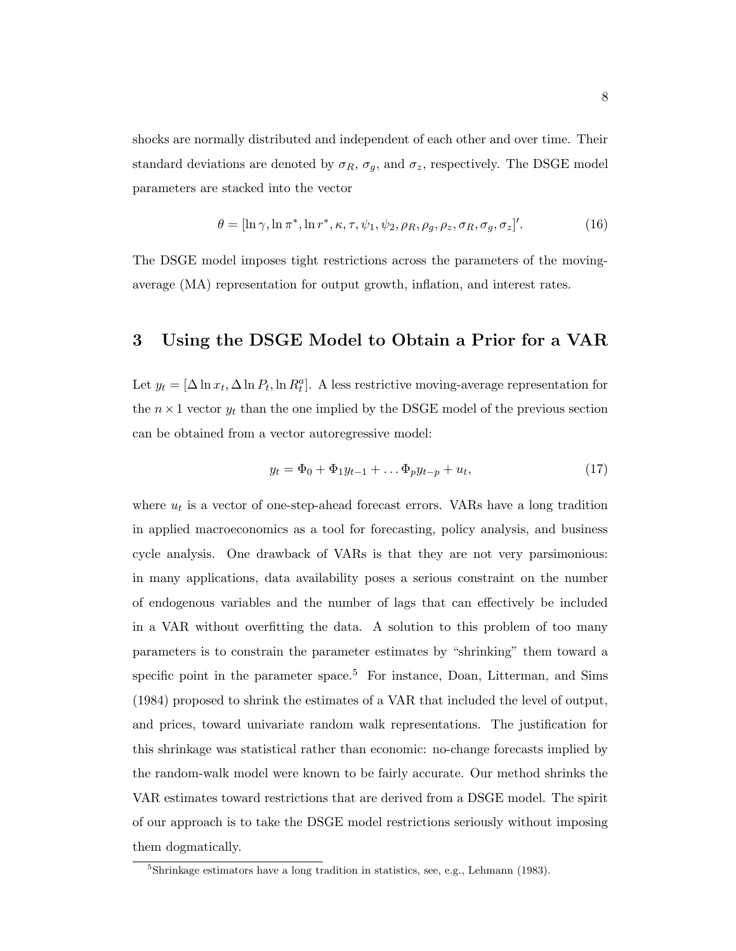shocks are normally distributed and independent of each other and over time. Their standard deviations are denoted by  $\sigma_R$ ,  $\sigma_g$ , and  $\sigma_z$ , respectively. The DSGE model parameters are stacked into the vector

$$
\theta = [\ln \gamma, \ln \pi^*, \ln r^*, \kappa, \tau, \psi_1, \psi_2, \rho_R, \rho_g, \rho_z, \sigma_R, \sigma_g, \sigma_z]'. \tag{16}
$$

The DSGE model imposes tight restrictions across the parameters of the movingaverage (MA) representation for output growth, inflation, and interest rates.

# 3 Using the DSGE Model to Obtain a Prior for a VAR

Let  $y_t = [\Delta \ln x_t, \Delta \ln P_t, \ln R_t^a]$ . A less restrictive moving-average representation for the  $n \times 1$  vector  $y_t$  than the one implied by the DSGE model of the previous section can be obtained from a vector autoregressive model:

$$
y_t = \Phi_0 + \Phi_1 y_{t-1} + \dots \Phi_p y_{t-p} + u_t, \tag{17}
$$

where  $u_t$  is a vector of one-step-ahead forecast errors. VARs have a long tradition in applied macroeconomics as a tool for forecasting, policy analysis, and business cycle analysis. One drawback of VARs is that they are not very parsimonious: in many applications, data availability poses a serious constraint on the number of endogenous variables and the number of lags that can effectively be included in a VAR without overfitting the data. A solution to this problem of too many parameters is to constrain the parameter estimates by "shrinking" them toward a specific point in the parameter space.<sup>5</sup> For instance, Doan, Litterman, and Sims (1984) proposed to shrink the estimates of a VAR that included the level of output, and prices, toward univariate random walk representations. The justification for this shrinkage was statistical rather than economic: no-change forecasts implied by the random-walk model were known to be fairly accurate. Our method shrinks the VAR estimates toward restrictions that are derived from a DSGE model. The spirit of our approach is to take the DSGE model restrictions seriously without imposing them dogmatically.

<sup>&</sup>lt;sup>5</sup>Shrinkage estimators have a long tradition in statistics, see, e.g., Lehmann (1983).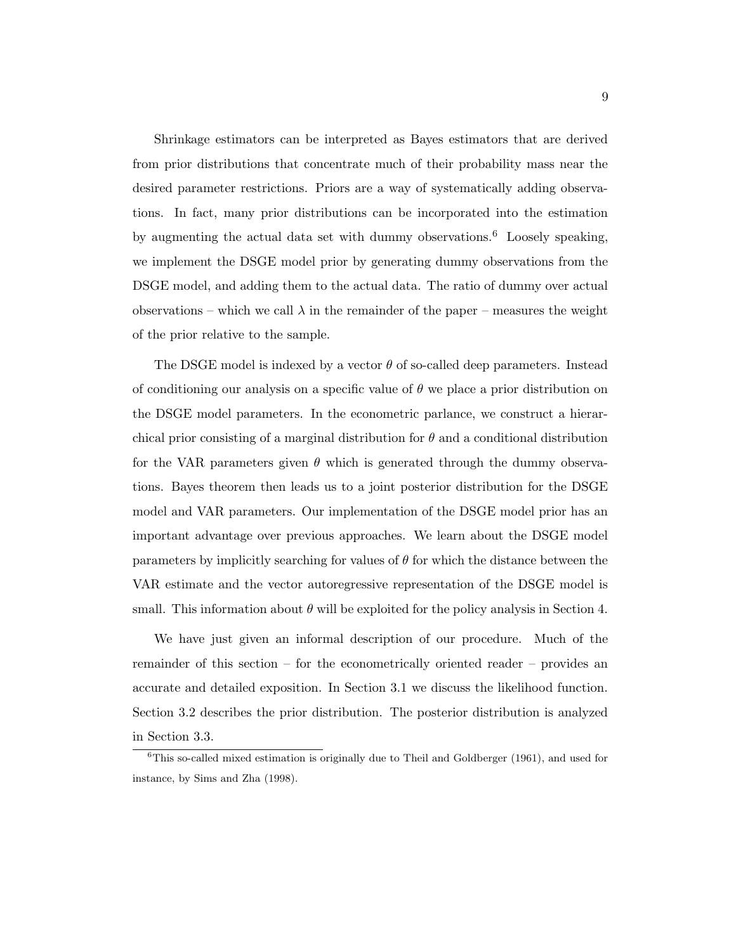Shrinkage estimators can be interpreted as Bayes estimators that are derived from prior distributions that concentrate much of their probability mass near the desired parameter restrictions. Priors are a way of systematically adding observations. In fact, many prior distributions can be incorporated into the estimation by augmenting the actual data set with dummy observations.<sup>6</sup> Loosely speaking, we implement the DSGE model prior by generating dummy observations from the DSGE model, and adding them to the actual data. The ratio of dummy over actual observations – which we call  $\lambda$  in the remainder of the paper – measures the weight of the prior relative to the sample.

The DSGE model is indexed by a vector  $\theta$  of so-called deep parameters. Instead of conditioning our analysis on a specific value of  $\theta$  we place a prior distribution on the DSGE model parameters. In the econometric parlance, we construct a hierarchical prior consisting of a marginal distribution for  $\theta$  and a conditional distribution for the VAR parameters given  $\theta$  which is generated through the dummy observations. Bayes theorem then leads us to a joint posterior distribution for the DSGE model and VAR parameters. Our implementation of the DSGE model prior has an important advantage over previous approaches. We learn about the DSGE model parameters by implicitly searching for values of  $\theta$  for which the distance between the VAR estimate and the vector autoregressive representation of the DSGE model is small. This information about  $\theta$  will be exploited for the policy analysis in Section 4.

We have just given an informal description of our procedure. Much of the remainder of this section – for the econometrically oriented reader – provides an accurate and detailed exposition. In Section 3.1 we discuss the likelihood function. Section 3.2 describes the prior distribution. The posterior distribution is analyzed in Section 3.3.

 ${}^{6}$ This so-called mixed estimation is originally due to Theil and Goldberger (1961), and used for instance, by Sims and Zha (1998).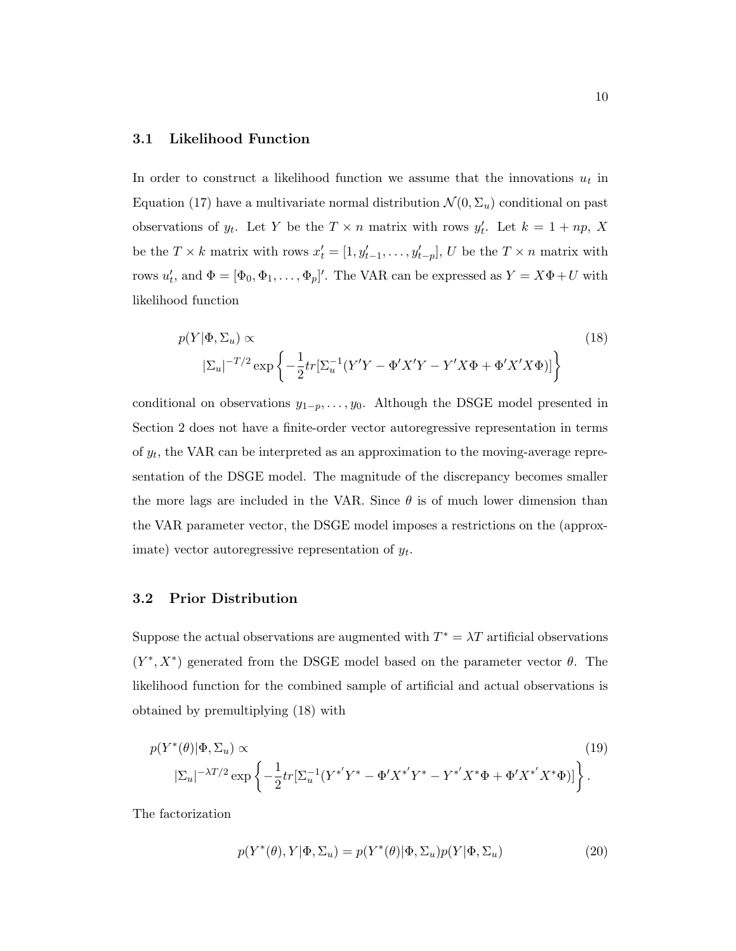## 3.1 Likelihood Function

In order to construct a likelihood function we assume that the innovations  $u_t$  in Equation (17) have a multivariate normal distribution  $\mathcal{N}(0, \Sigma_u)$  conditional on past observations of  $y_t$ . Let Y be the  $T \times n$  matrix with rows  $y'_t$ . Let  $k = 1 + np$ , X be the  $T \times k$  matrix with rows  $x'_t = [1, y'_{t-1}, \dots, y'_{t-p}]$ , U be the  $T \times n$  matrix with rows  $u'_t$ , and  $\Phi = [\Phi_0, \Phi_1, \dots, \Phi_p]'$ . The VAR can be expressed as  $Y = X\Phi + U$  with likelihood function

$$
p(Y|\Phi, \Sigma_u) \propto \qquad (18)
$$
  

$$
|\Sigma_u|^{-T/2} \exp\left\{-\frac{1}{2}tr[\Sigma_u^{-1}(Y'Y - \Phi'X'Y - Y'X\Phi + \Phi'X'X\Phi)]\right\}
$$

conditional on observations  $y_{1-p}, \ldots, y_0$ . Although the DSGE model presented in Section 2 does not have a finite-order vector autoregressive representation in terms of  $y_t$ , the VAR can be interpreted as an approximation to the moving-average representation of the DSGE model. The magnitude of the discrepancy becomes smaller the more lags are included in the VAR. Since  $\theta$  is of much lower dimension than the VAR parameter vector, the DSGE model imposes a restrictions on the (approximate) vector autoregressive representation of  $y_t$ .

## 3.2 Prior Distribution

Suppose the actual observations are augmented with  $T^* = \lambda T$  artificial observations  $(Y^*, X^*)$  generated from the DSGE model based on the parameter vector  $\theta$ . The likelihood function for the combined sample of artificial and actual observations is obtained by premultiplying (18) with

$$
p(Y^*(\theta)|\Phi, \Sigma_u) \propto \tag{19}
$$
\n
$$
|\Sigma_u|^{-\lambda T/2} \exp\left\{-\frac{1}{2}tr[\Sigma_u^{-1}(Y^{*'}Y^* - \Phi'X^{*'}Y^* - Y^{*'}X^*\Phi + \Phi'X^{*'}X^*\Phi)]\right\}.
$$

The factorization

$$
p(Y^*(\theta), Y | \Phi, \Sigma_u) = p(Y^*(\theta) | \Phi, \Sigma_u) p(Y | \Phi, \Sigma_u)
$$
\n(20)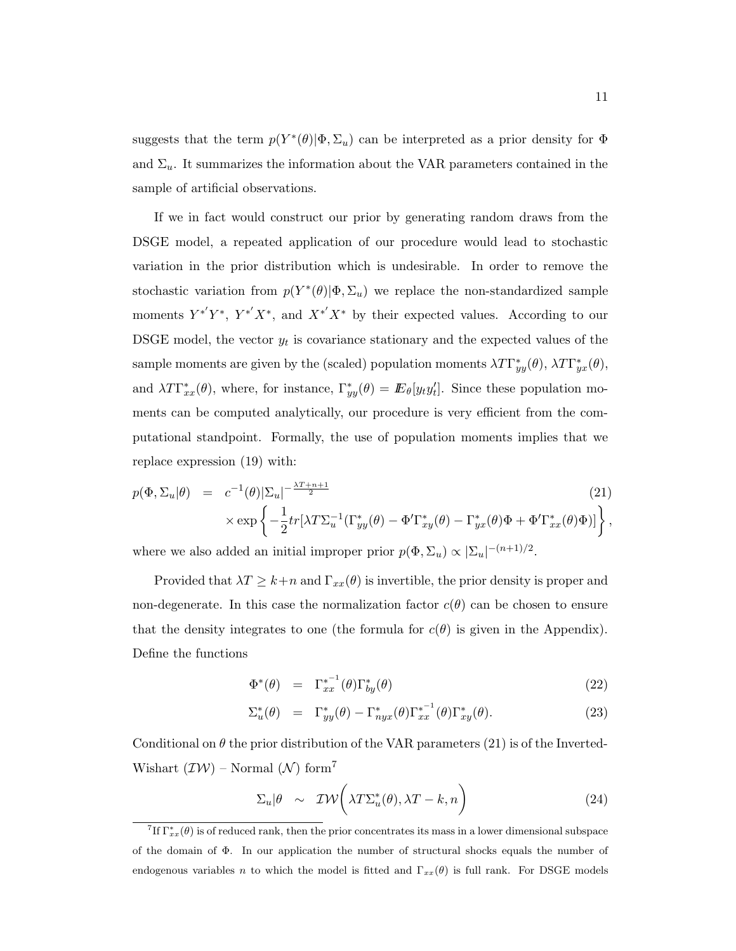suggests that the term  $p(Y^*(\theta)|\Phi,\Sigma_u)$  can be interpreted as a prior density for  $\Phi$ and  $\Sigma_u$ . It summarizes the information about the VAR parameters contained in the sample of artificial observations.

If we in fact would construct our prior by generating random draws from the DSGE model, a repeated application of our procedure would lead to stochastic variation in the prior distribution which is undesirable. In order to remove the stochastic variation from  $p(Y^*(\theta)|\Phi,\Sigma_u)$  we replace the non-standardized sample moments  $Y^{*'}Y^*$ ,  $Y^{*'}X^*$ , and  $X^{*'}X^*$  by their expected values. According to our DSGE model, the vector  $y_t$  is covariance stationary and the expected values of the sample moments are given by the (scaled) population moments  $\lambda T \Gamma_{yy}^*(\theta)$ ,  $\lambda T \Gamma_{yx}^*(\theta)$ , and  $\lambda T \Gamma_{xx}^*(\theta)$ , where, for instance,  $\Gamma_{yy}^*(\theta) = \mathbb{E}_{\theta}[y_t y_t']$ . Since these population moments can be computed analytically, our procedure is very efficient from the computational standpoint. Formally, the use of population moments implies that we replace expression (19) with:

$$
p(\Phi, \Sigma_u | \theta) = c^{-1}(\theta) |\Sigma_u|^{-\frac{\lambda T + n + 1}{2}} \tag{21}
$$
  
 
$$
\times \exp \left\{ -\frac{1}{2} tr[\lambda T \Sigma_u^{-1} (\Gamma_{yy}^*(\theta) - \Phi' \Gamma_{xy}^*(\theta) - \Gamma_{yx}^*(\theta) \Phi + \Phi' \Gamma_{xx}^*(\theta) \Phi)] \right\},
$$

where we also added an initial improper prior  $p(\Phi, \Sigma_u) \propto |\Sigma_u|^{-(n+1)/2}$ .

Provided that  $\lambda T \geq k+n$  and  $\Gamma_{xx}(\theta)$  is invertible, the prior density is proper and non-degenerate. In this case the normalization factor  $c(\theta)$  can be chosen to ensure that the density integrates to one (the formula for  $c(\theta)$ ) is given in the Appendix). Define the functions

$$
\Phi^*(\theta) = \Gamma_{xx}^{*^{-1}}(\theta)\Gamma_{by}^*(\theta) \tag{22}
$$

$$
\Sigma_u^*(\theta) = \Gamma_{yy}^*(\theta) - \Gamma_{nyx}^*(\theta) \Gamma_{xx}^{*-1}(\theta) \Gamma_{xy}^*(\theta). \tag{23}
$$

Conditional on  $\theta$  the prior distribution of the VAR parameters (21) is of the Inverted-Wishart  $(\mathcal{IW})$  – Normal  $(\mathcal{N})$  form<sup>7</sup>

$$
\Sigma_u|\theta \sim \mathcal{IW}\bigg(\lambda T\Sigma_u^*(\theta), \lambda T - k, n\bigg) \tag{24}
$$

<sup>&</sup>lt;sup>7</sup>If  $\Gamma_{xx}^*(\theta)$  is of reduced rank, then the prior concentrates its mass in a lower dimensional subspace of the domain of Φ. In our application the number of structural shocks equals the number of endogenous variables n to which the model is fitted and  $\Gamma_{xx}(\theta)$  is full rank. For DSGE models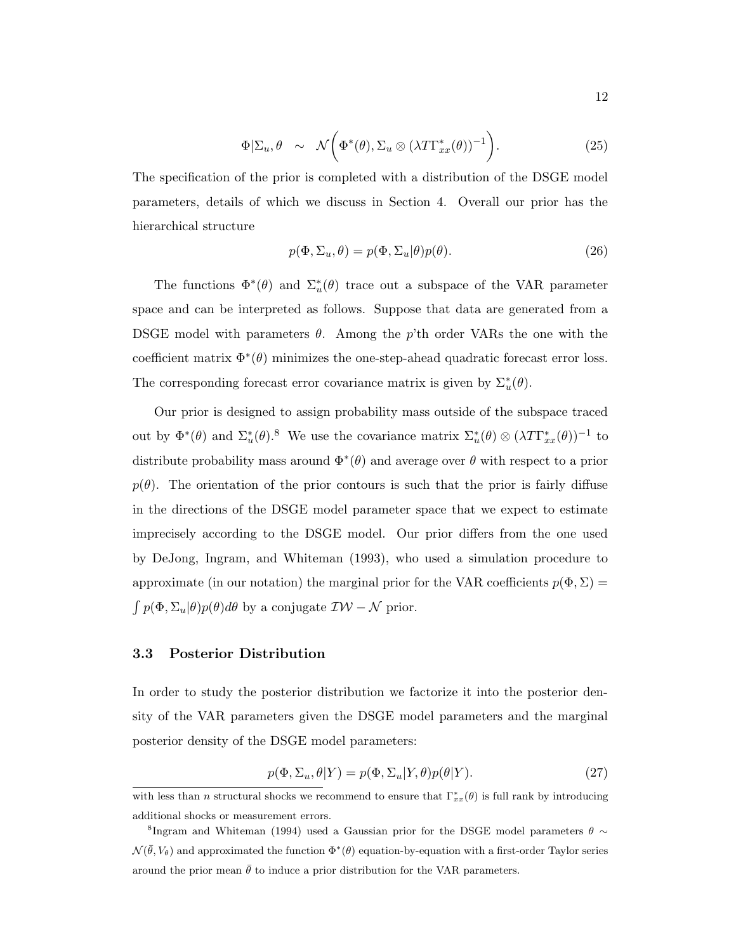$$
\Phi|\Sigma_u, \theta \sim \mathcal{N}\bigg(\Phi^*(\theta), \Sigma_u \otimes (\lambda T\Gamma_{xx}^*(\theta))^{-1}\bigg). \tag{25}
$$

The specification of the prior is completed with a distribution of the DSGE model parameters, details of which we discuss in Section 4. Overall our prior has the hierarchical structure

$$
p(\Phi, \Sigma_u, \theta) = p(\Phi, \Sigma_u | \theta) p(\theta).
$$
\n(26)

The functions  $\Phi^*(\theta)$  and  $\Sigma^*_u(\theta)$  trace out a subspace of the VAR parameter space and can be interpreted as follows. Suppose that data are generated from a DSGE model with parameters  $\theta$ . Among the p'th order VARs the one with the coefficient matrix  $\Phi^*(\theta)$  minimizes the one-step-ahead quadratic forecast error loss. The corresponding forecast error covariance matrix is given by  $\Sigma_u^*(\theta)$ .

Our prior is designed to assign probability mass outside of the subspace traced out by  $\Phi^*(\theta)$  and  $\Sigma_u^*(\theta)$ .<sup>8</sup> We use the covariance matrix  $\Sigma_u^*(\theta) \otimes (\lambda T \Gamma_{xx}^*(\theta))^{-1}$  to distribute probability mass around  $\Phi^*(\theta)$  and average over  $\theta$  with respect to a prior  $p(\theta)$ . The orientation of the prior contours is such that the prior is fairly diffuse in the directions of the DSGE model parameter space that we expect to estimate imprecisely according to the DSGE model. Our prior differs from the one used by DeJong, Ingram, and Whiteman (1993), who used a simulation procedure to approximate (in our notation) the marginal prior for the VAR coefficients  $p(\Phi, \Sigma)$  =  $\int p(\Phi, \Sigma_u | \theta) p(\theta) d\theta$  by a conjugate  $\mathcal{IW} - \mathcal{N}$  prior.

## 3.3 Posterior Distribution

In order to study the posterior distribution we factorize it into the posterior density of the VAR parameters given the DSGE model parameters and the marginal posterior density of the DSGE model parameters:

$$
p(\Phi, \Sigma_u, \theta | Y) = p(\Phi, \Sigma_u | Y, \theta) p(\theta | Y).
$$
\n(27)

with less than n structural shocks we recommend to ensure that  $\Gamma_{xx}^*(\theta)$  is full rank by introducing additional shocks or measurement errors.

<sup>&</sup>lt;sup>8</sup>Ingram and Whiteman (1994) used a Gaussian prior for the DSGE model parameters  $\theta \sim$  $\mathcal{N}(\bar{\theta}, V_{\theta})$  and approximated the function  $\Phi^*(\theta)$  equation-by-equation with a first-order Taylor series around the prior mean  $\bar{\theta}$  to induce a prior distribution for the VAR parameters.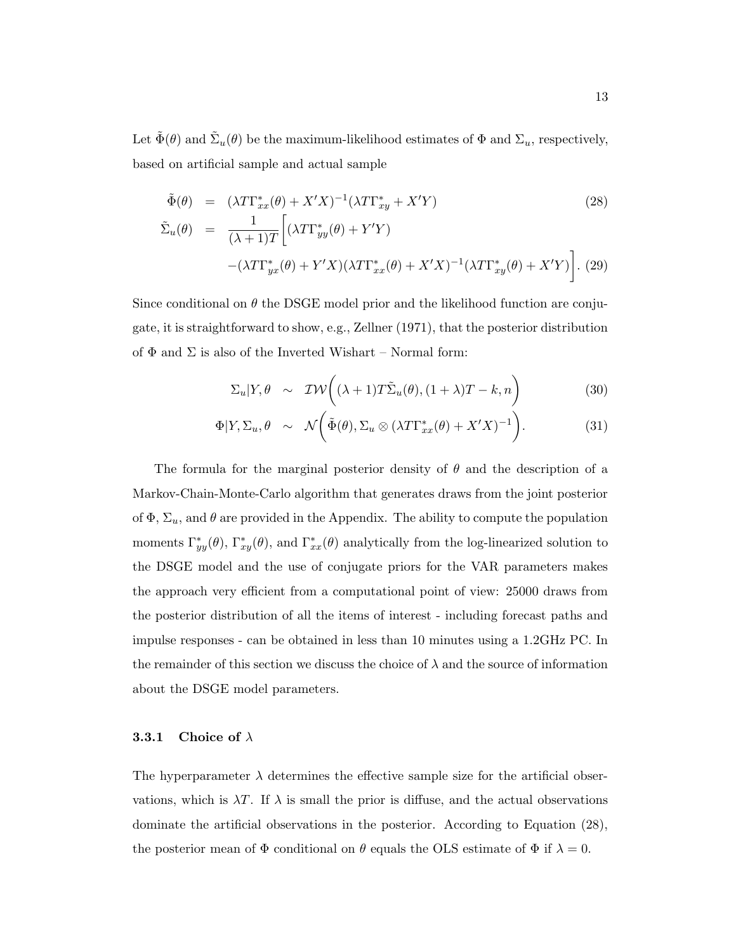Let  $\tilde{\Phi}(\theta)$  and  $\tilde{\Sigma}_u(\theta)$  be the maximum-likelihood estimates of  $\Phi$  and  $\Sigma_u$ , respectively, based on artificial sample and actual sample

$$
\tilde{\Phi}(\theta) = (\lambda T \Gamma_{xx}^*(\theta) + X'X)^{-1} (\lambda T \Gamma_{xy}^* + X'Y)
$$
\n
$$
\tilde{\Sigma}_u(\theta) = \frac{1}{(\lambda + 1)T} \Big[ (\lambda T \Gamma_{yy}^*(\theta) + Y'Y)
$$
\n
$$
-(\lambda T \Gamma_{yx}^*(\theta) + Y'X)(\lambda T \Gamma_{xx}^*(\theta) + X'X)^{-1} (\lambda T \Gamma_{xy}^*(\theta) + X'Y) \Big].
$$
\n(29)

Since conditional on  $\theta$  the DSGE model prior and the likelihood function are conjugate, it is straightforward to show, e.g., Zellner (1971), that the posterior distribution of  $\Phi$  and  $\Sigma$  is also of the Inverted Wishart – Normal form:

$$
\Sigma_u | Y, \theta \sim \mathcal{IW}\bigg( (\lambda + 1) T \tilde{\Sigma}_u(\theta), (1 + \lambda) T - k, n \bigg)
$$
 (30)

$$
\Phi|Y, \Sigma_u, \theta \sim \mathcal{N}\bigg(\tilde{\Phi}(\theta), \Sigma_u \otimes (\lambda T \Gamma_{xx}^*(\theta) + X'X)^{-1}\bigg). \tag{31}
$$

The formula for the marginal posterior density of  $\theta$  and the description of a Markov-Chain-Monte-Carlo algorithm that generates draws from the joint posterior of  $\Phi$ ,  $\Sigma_u$ , and  $\theta$  are provided in the Appendix. The ability to compute the population moments  $\Gamma_{yy}^*(\theta)$ ,  $\Gamma_{xy}^*(\theta)$ , and  $\Gamma_{xx}^*(\theta)$  analytically from the log-linearized solution to the DSGE model and the use of conjugate priors for the VAR parameters makes the approach very efficient from a computational point of view: 25000 draws from the posterior distribution of all the items of interest - including forecast paths and impulse responses - can be obtained in less than 10 minutes using a 1.2GHz PC. In the remainder of this section we discuss the choice of  $\lambda$  and the source of information about the DSGE model parameters.

#### **3.3.1** Choice of  $\lambda$

The hyperparameter  $\lambda$  determines the effective sample size for the artificial observations, which is  $\lambda T$ . If  $\lambda$  is small the prior is diffuse, and the actual observations dominate the artificial observations in the posterior. According to Equation (28), the posterior mean of  $\Phi$  conditional on  $\theta$  equals the OLS estimate of  $\Phi$  if  $\lambda = 0$ .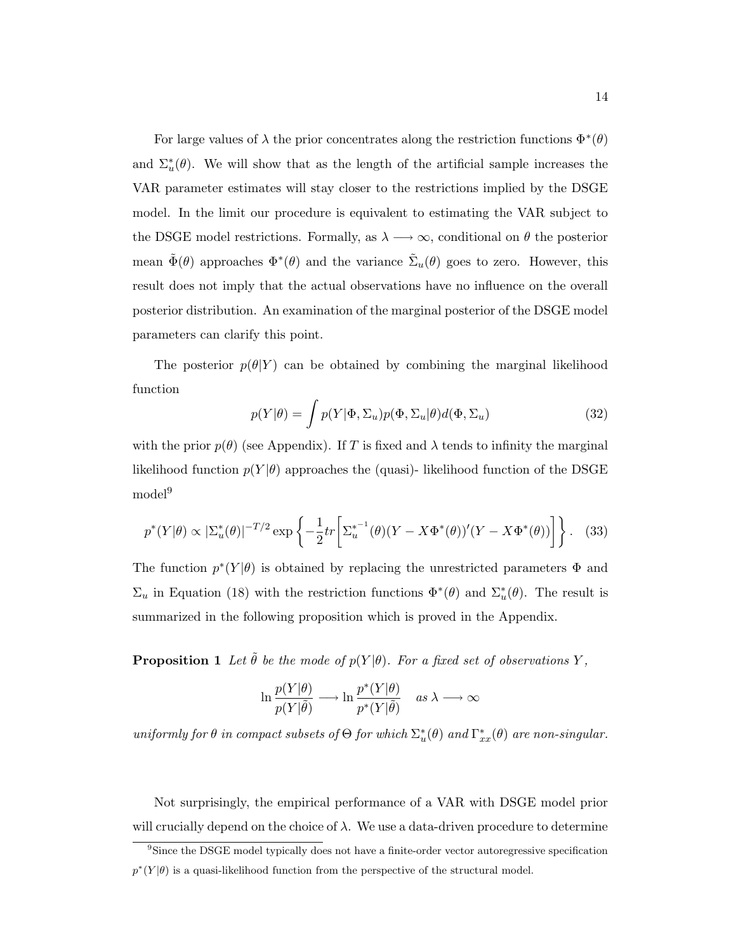For large values of  $\lambda$  the prior concentrates along the restriction functions  $\Phi^*(\theta)$ and  $\Sigma_u^*(\theta)$ . We will show that as the length of the artificial sample increases the VAR parameter estimates will stay closer to the restrictions implied by the DSGE model. In the limit our procedure is equivalent to estimating the VAR subject to the DSGE model restrictions. Formally, as  $\lambda \longrightarrow \infty$ , conditional on  $\theta$  the posterior mean  $\tilde{\Phi}(\theta)$  approaches  $\Phi^*(\theta)$  and the variance  $\tilde{\Sigma}_u(\theta)$  goes to zero. However, this result does not imply that the actual observations have no influence on the overall posterior distribution. An examination of the marginal posterior of the DSGE model parameters can clarify this point.

The posterior  $p(\theta|Y)$  can be obtained by combining the marginal likelihood function

$$
p(Y|\theta) = \int p(Y|\Phi, \Sigma_u) p(\Phi, \Sigma_u | \theta) d(\Phi, \Sigma_u)
$$
\n(32)

with the prior  $p(\theta)$  (see Appendix). If T is fixed and  $\lambda$  tends to infinity the marginal likelihood function  $p(Y|\theta)$  approaches the (quasi)- likelihood function of the DSGE  $\rm model^9$ 

$$
p^*(Y|\theta) \propto |\Sigma_u^*(\theta)|^{-T/2} \exp\left\{-\frac{1}{2}tr\left[\Sigma_u^{*-1}(\theta)(Y - X\Phi^*(\theta))'(Y - X\Phi^*(\theta))\right]\right\}.
$$
 (33)

The function  $p^*(Y|\theta)$  is obtained by replacing the unrestricted parameters  $\Phi$  and  $\Sigma_u$  in Equation (18) with the restriction functions  $\Phi^*(\theta)$  and  $\Sigma_u^*(\theta)$ . The result is summarized in the following proposition which is proved in the Appendix.

**Proposition 1** Let  $\tilde{\theta}$  be the mode of  $p(Y|\theta)$ . For a fixed set of observations Y,

$$
\ln \frac{p(Y|\theta)}{p(Y|\tilde{\theta})} \longrightarrow \ln \frac{p^*(Y|\theta)}{p^*(Y|\tilde{\theta})} \quad as \ \lambda \longrightarrow \infty
$$

uniformly for  $\theta$  in compact subsets of  $\Theta$  for which  $\Sigma_u^*(\theta)$  and  $\Gamma_{xx}^*(\theta)$  are non-singular.

Not surprisingly, the empirical performance of a VAR with DSGE model prior will crucially depend on the choice of  $\lambda$ . We use a data-driven procedure to determine

<sup>&</sup>lt;sup>9</sup>Since the DSGE model typically does not have a finite-order vector autoregressive specification  $p^*(Y|\theta)$  is a quasi-likelihood function from the perspective of the structural model.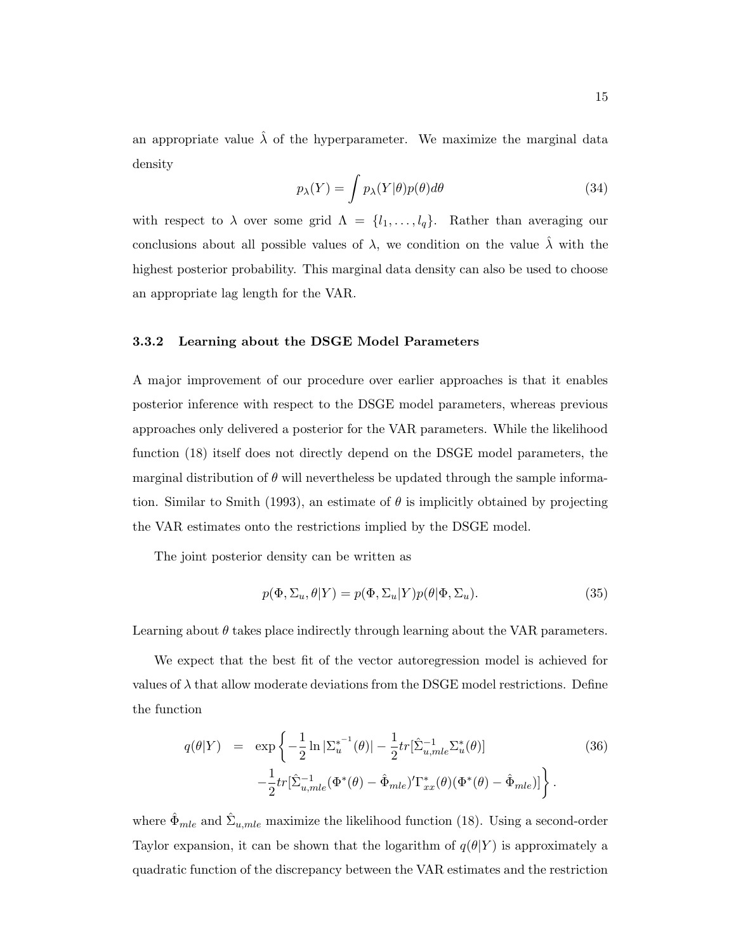an appropriate value  $\hat{\lambda}$  of the hyperparameter. We maximize the marginal data density

$$
p_{\lambda}(Y) = \int p_{\lambda}(Y|\theta)p(\theta)d\theta
$$
\n(34)

with respect to  $\lambda$  over some grid  $\Lambda = \{l_1, \ldots, l_q\}$ . Rather than averaging our conclusions about all possible values of  $\lambda$ , we condition on the value  $\lambda$  with the highest posterior probability. This marginal data density can also be used to choose an appropriate lag length for the VAR.

#### 3.3.2 Learning about the DSGE Model Parameters

A major improvement of our procedure over earlier approaches is that it enables posterior inference with respect to the DSGE model parameters, whereas previous approaches only delivered a posterior for the VAR parameters. While the likelihood function (18) itself does not directly depend on the DSGE model parameters, the marginal distribution of  $\theta$  will nevertheless be updated through the sample information. Similar to Smith (1993), an estimate of  $\theta$  is implicitly obtained by projecting the VAR estimates onto the restrictions implied by the DSGE model.

The joint posterior density can be written as

$$
p(\Phi, \Sigma_u, \theta | Y) = p(\Phi, \Sigma_u | Y) p(\theta | \Phi, \Sigma_u).
$$
\n(35)

Learning about  $\theta$  takes place indirectly through learning about the VAR parameters.

We expect that the best fit of the vector autoregression model is achieved for values of  $\lambda$  that allow moderate deviations from the DSGE model restrictions. Define the function

$$
q(\theta|Y) = \exp\left\{-\frac{1}{2}\ln|\Sigma_{u}^{*^{-1}}(\theta)| - \frac{1}{2}tr[\hat{\Sigma}_{u,mle}^{-1}\Sigma_{u}^{*}(\theta)] - \frac{1}{2}tr[\hat{\Sigma}_{u,mle}^{-1}(\Phi^{*}(\theta) - \hat{\Phi}_{mle})' \Gamma_{xx}^{*}(\theta)(\Phi^{*}(\theta) - \hat{\Phi}_{mle})]\right\}.
$$
\n(36)

where  $\hat{\Phi}_{mle}$  and  $\hat{\Sigma}_{u,mle}$  maximize the likelihood function (18). Using a second-order Taylor expansion, it can be shown that the logarithm of  $q(\theta|Y)$  is approximately a quadratic function of the discrepancy between the VAR estimates and the restriction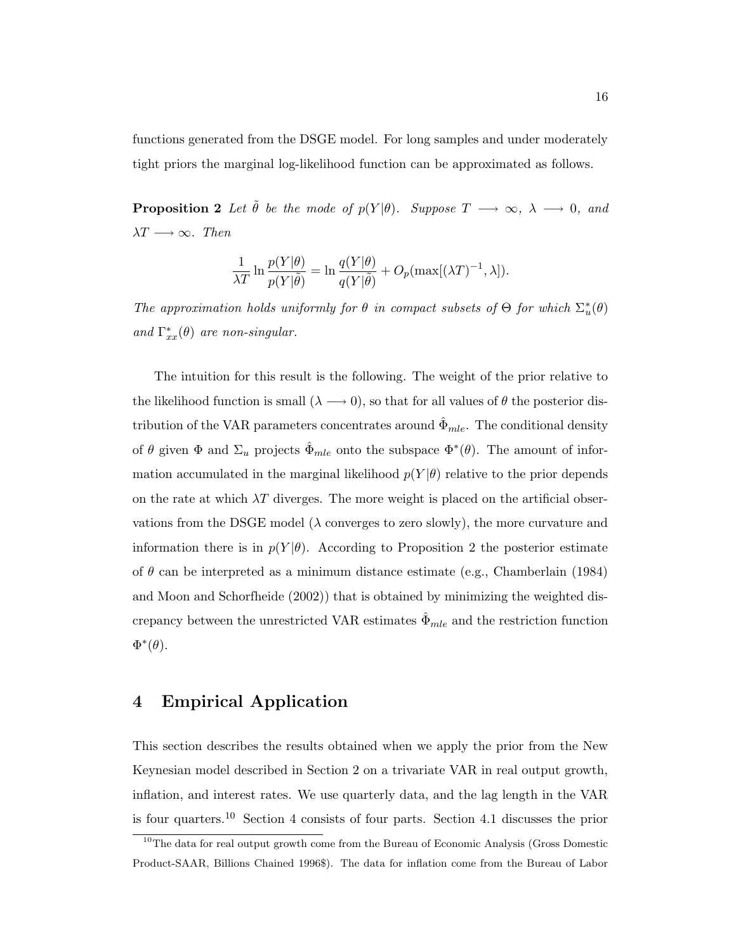functions generated from the DSGE model. For long samples and under moderately tight priors the marginal log-likelihood function can be approximated as follows.

**Proposition 2** Let  $\tilde{\theta}$  be the mode of  $p(Y|\theta)$ . Suppose  $T \longrightarrow \infty$ ,  $\lambda \longrightarrow 0$ , and  $\lambda T \longrightarrow \infty$ . Then

$$
\frac{1}{\lambda T} \ln \frac{p(Y|\theta)}{p(Y|\tilde{\theta})} = \ln \frac{q(Y|\theta)}{q(Y|\tilde{\theta})} + O_p(\max[(\lambda T)^{-1}, \lambda]).
$$

The approximation holds uniformly for  $\theta$  in compact subsets of  $\Theta$  for which  $\Sigma_u^*(\theta)$ and  $\Gamma_{xx}^*(\theta)$  are non-singular.

The intuition for this result is the following. The weight of the prior relative to the likelihood function is small  $(\lambda \rightarrow 0)$ , so that for all values of  $\theta$  the posterior distribution of the VAR parameters concentrates around  $\Phi_{mle}$ . The conditional density of  $\theta$  given  $\Phi$  and  $\Sigma_u$  projects  $\hat{\Phi}_{mle}$  onto the subspace  $\Phi^*(\theta)$ . The amount of information accumulated in the marginal likelihood  $p(Y|\theta)$  relative to the prior depends on the rate at which  $\lambda T$  diverges. The more weight is placed on the artificial observations from the DSGE model ( $\lambda$  converges to zero slowly), the more curvature and information there is in  $p(Y|\theta)$ . According to Proposition 2 the posterior estimate of  $\theta$  can be interpreted as a minimum distance estimate (e.g., Chamberlain (1984) and Moon and Schorfheide (2002)) that is obtained by minimizing the weighted discrepancy between the unrestricted VAR estimates  $\hat{\Phi}_{mle}$  and the restriction function  $\Phi^*(\theta)$ .

# 4 Empirical Application

This section describes the results obtained when we apply the prior from the New Keynesian model described in Section 2 on a trivariate VAR in real output growth, inflation, and interest rates. We use quarterly data, and the lag length in the VAR is four quarters.<sup>10</sup> Section 4 consists of four parts. Section 4.1 discusses the prior

<sup>&</sup>lt;sup>10</sup>The data for real output growth come from the Bureau of Economic Analysis (Gross Domestic Product-SAAR, Billions Chained 1996\$). The data for inflation come from the Bureau of Labor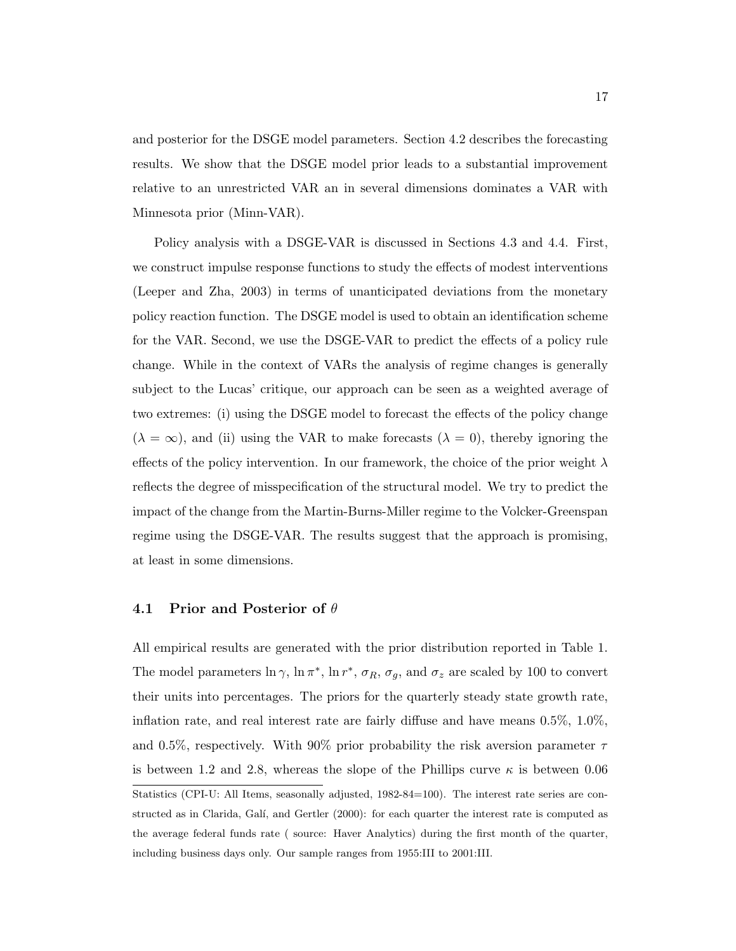and posterior for the DSGE model parameters. Section 4.2 describes the forecasting results. We show that the DSGE model prior leads to a substantial improvement relative to an unrestricted VAR an in several dimensions dominates a VAR with Minnesota prior (Minn-VAR).

Policy analysis with a DSGE-VAR is discussed in Sections 4.3 and 4.4. First, we construct impulse response functions to study the effects of modest interventions (Leeper and Zha, 2003) in terms of unanticipated deviations from the monetary policy reaction function. The DSGE model is used to obtain an identification scheme for the VAR. Second, we use the DSGE-VAR to predict the effects of a policy rule change. While in the context of VARs the analysis of regime changes is generally subject to the Lucas' critique, our approach can be seen as a weighted average of two extremes: (i) using the DSGE model to forecast the effects of the policy change  $(\lambda = \infty)$ , and (ii) using the VAR to make forecasts  $(\lambda = 0)$ , thereby ignoring the effects of the policy intervention. In our framework, the choice of the prior weight  $\lambda$ reflects the degree of misspecification of the structural model. We try to predict the impact of the change from the Martin-Burns-Miller regime to the Volcker-Greenspan regime using the DSGE-VAR. The results suggest that the approach is promising, at least in some dimensions.

## 4.1 Prior and Posterior of  $\theta$

All empirical results are generated with the prior distribution reported in Table 1. The model parameters  $\ln \gamma$ ,  $\ln \pi^*$ ,  $\ln r^*$ ,  $\sigma_R$ ,  $\sigma_g$ , and  $\sigma_z$  are scaled by 100 to convert their units into percentages. The priors for the quarterly steady state growth rate, inflation rate, and real interest rate are fairly diffuse and have means 0.5%, 1.0%, and 0.5%, respectively. With 90% prior probability the risk aversion parameter  $\tau$ is between 1.2 and 2.8, whereas the slope of the Phillips curve  $\kappa$  is between 0.06 Statistics (CPI-U: All Items, seasonally adjusted, 1982-84=100). The interest rate series are constructed as in Clarida, Galí, and Gertler (2000): for each quarter the interest rate is computed as the average federal funds rate ( source: Haver Analytics) during the first month of the quarter, including business days only. Our sample ranges from 1955:III to 2001:III.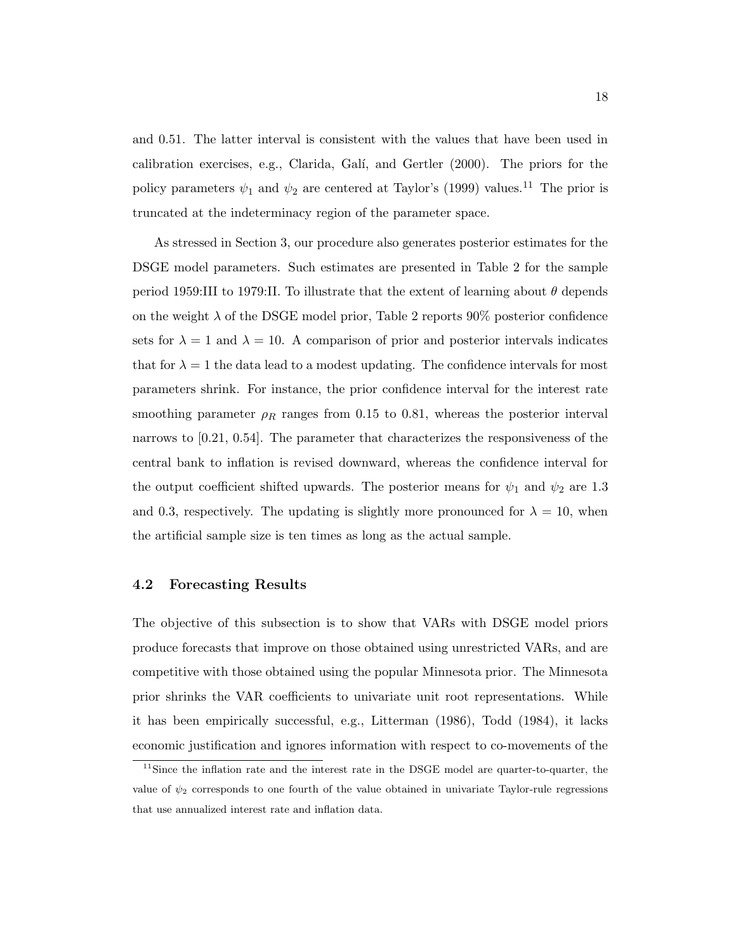and 0.51. The latter interval is consistent with the values that have been used in calibration exercises, e.g., Clarida, Galí, and Gertler  $(2000)$ . The priors for the policy parameters  $\psi_1$  and  $\psi_2$  are centered at Taylor's (1999) values.<sup>11</sup> The prior is truncated at the indeterminacy region of the parameter space.

As stressed in Section 3, our procedure also generates posterior estimates for the DSGE model parameters. Such estimates are presented in Table 2 for the sample period 1959:III to 1979:II. To illustrate that the extent of learning about  $\theta$  depends on the weight  $\lambda$  of the DSGE model prior, Table 2 reports 90% posterior confidence sets for  $\lambda = 1$  and  $\lambda = 10$ . A comparison of prior and posterior intervals indicates that for  $\lambda = 1$  the data lead to a modest updating. The confidence intervals for most parameters shrink. For instance, the prior confidence interval for the interest rate smoothing parameter  $\rho_R$  ranges from 0.15 to 0.81, whereas the posterior interval narrows to [0.21, 0.54]. The parameter that characterizes the responsiveness of the central bank to inflation is revised downward, whereas the confidence interval for the output coefficient shifted upwards. The posterior means for  $\psi_1$  and  $\psi_2$  are 1.3 and 0.3, respectively. The updating is slightly more pronounced for  $\lambda = 10$ , when the artificial sample size is ten times as long as the actual sample.

## 4.2 Forecasting Results

The objective of this subsection is to show that VARs with DSGE model priors produce forecasts that improve on those obtained using unrestricted VARs, and are competitive with those obtained using the popular Minnesota prior. The Minnesota prior shrinks the VAR coefficients to univariate unit root representations. While it has been empirically successful, e.g., Litterman (1986), Todd (1984), it lacks economic justification and ignores information with respect to co-movements of the

<sup>&</sup>lt;sup>11</sup>Since the inflation rate and the interest rate in the DSGE model are quarter-to-quarter, the value of  $\psi_2$  corresponds to one fourth of the value obtained in univariate Taylor-rule regressions that use annualized interest rate and inflation data.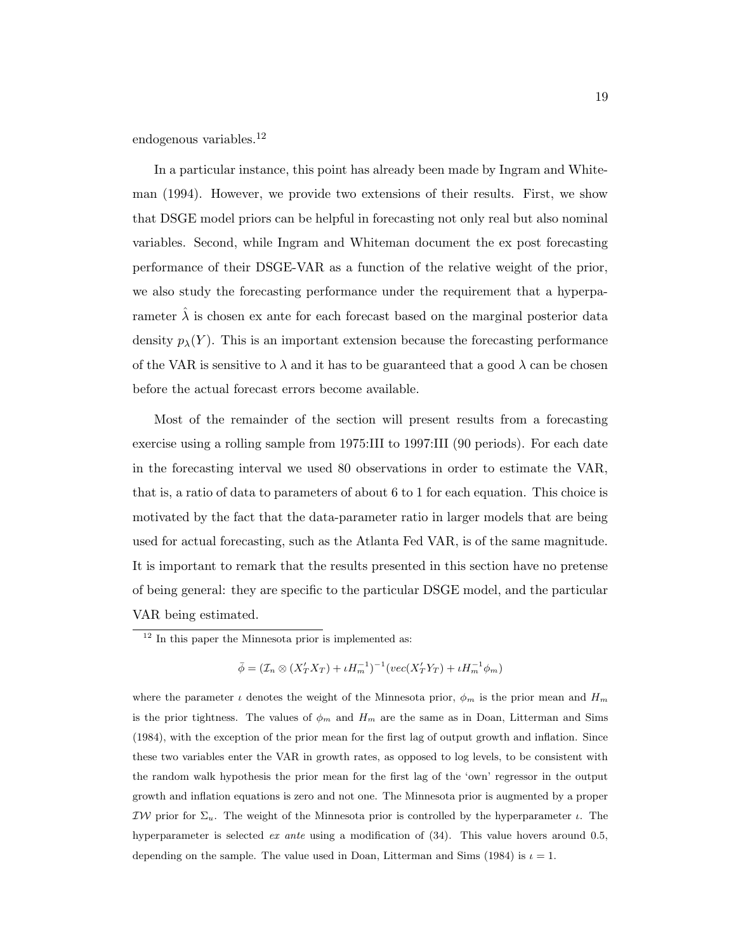endogenous variables.<sup>12</sup>

In a particular instance, this point has already been made by Ingram and Whiteman (1994). However, we provide two extensions of their results. First, we show that DSGE model priors can be helpful in forecasting not only real but also nominal variables. Second, while Ingram and Whiteman document the ex post forecasting performance of their DSGE-VAR as a function of the relative weight of the prior, we also study the forecasting performance under the requirement that a hyperparameter  $\hat{\lambda}$  is chosen ex ante for each forecast based on the marginal posterior data density  $p_{\lambda}(Y)$ . This is an important extension because the forecasting performance of the VAR is sensitive to  $\lambda$  and it has to be guaranteed that a good  $\lambda$  can be chosen before the actual forecast errors become available.

Most of the remainder of the section will present results from a forecasting exercise using a rolling sample from 1975:III to 1997:III (90 periods). For each date in the forecasting interval we used 80 observations in order to estimate the VAR, that is, a ratio of data to parameters of about 6 to 1 for each equation. This choice is motivated by the fact that the data-parameter ratio in larger models that are being used for actual forecasting, such as the Atlanta Fed VAR, is of the same magnitude. It is important to remark that the results presented in this section have no pretense of being general: they are specific to the particular DSGE model, and the particular VAR being estimated.

 $\bar{\phi} = (\mathcal{I}_n \otimes (X'_T X_T) + \iota H_m^{-1})^{-1} (vec(X'_T Y_T) + \iota H_m^{-1} \phi_m)$ 

where the parameter  $\iota$  denotes the weight of the Minnesota prior,  $\phi_m$  is the prior mean and  $H_m$ is the prior tightness. The values of  $\phi_m$  and  $H_m$  are the same as in Doan, Litterman and Sims (1984), with the exception of the prior mean for the first lag of output growth and inflation. Since these two variables enter the VAR in growth rates, as opposed to log levels, to be consistent with the random walk hypothesis the prior mean for the first lag of the 'own' regressor in the output growth and inflation equations is zero and not one. The Minnesota prior is augmented by a proper IW prior for  $\Sigma_u$ . The weight of the Minnesota prior is controlled by the hyperparameter *ι*. The hyperparameter is selected *ex ante* using a modification of  $(34)$ . This value hovers around 0.5, depending on the sample. The value used in Doan, Litterman and Sims (1984) is  $\iota = 1$ .

 $12$  In this paper the Minnesota prior is implemented as: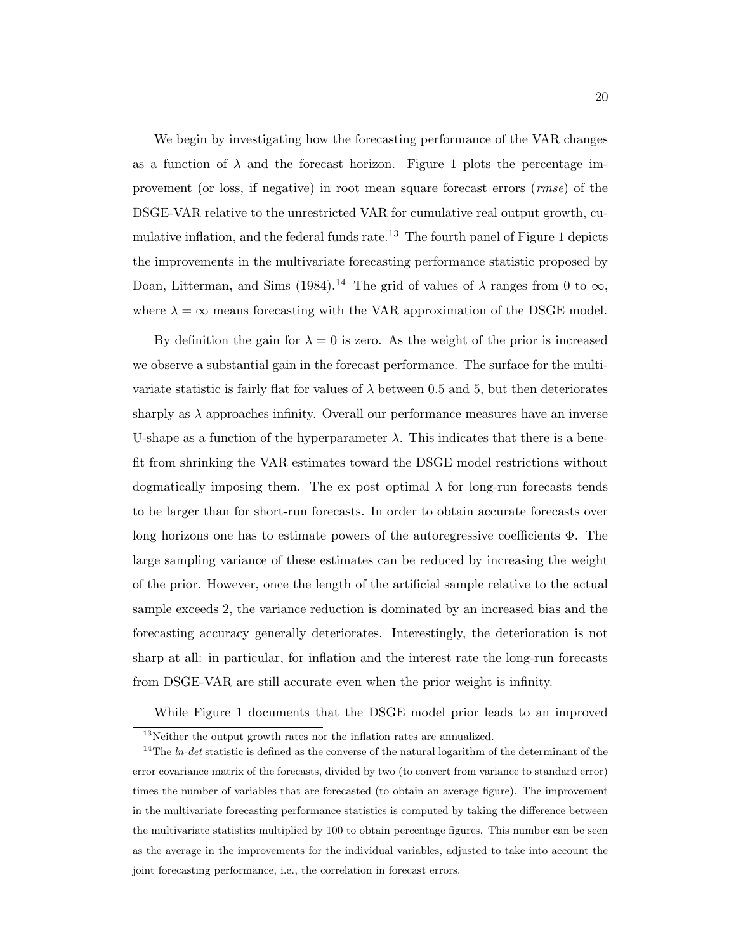We begin by investigating how the forecasting performance of the VAR changes as a function of  $\lambda$  and the forecast horizon. Figure 1 plots the percentage improvement (or loss, if negative) in root mean square forecast errors (rmse) of the DSGE-VAR relative to the unrestricted VAR for cumulative real output growth, cumulative inflation, and the federal funds rate.<sup>13</sup> The fourth panel of Figure 1 depicts the improvements in the multivariate forecasting performance statistic proposed by Doan, Litterman, and Sims (1984).<sup>14</sup> The grid of values of  $\lambda$  ranges from 0 to  $\infty$ , where  $\lambda = \infty$  means forecasting with the VAR approximation of the DSGE model.

By definition the gain for  $\lambda = 0$  is zero. As the weight of the prior is increased we observe a substantial gain in the forecast performance. The surface for the multivariate statistic is fairly flat for values of  $\lambda$  between 0.5 and 5, but then deteriorates sharply as  $\lambda$  approaches infinity. Overall our performance measures have an inverse U-shape as a function of the hyperparameter  $\lambda$ . This indicates that there is a benefit from shrinking the VAR estimates toward the DSGE model restrictions without dogmatically imposing them. The ex post optimal  $\lambda$  for long-run forecasts tends to be larger than for short-run forecasts. In order to obtain accurate forecasts over long horizons one has to estimate powers of the autoregressive coefficients  $\Phi$ . The large sampling variance of these estimates can be reduced by increasing the weight of the prior. However, once the length of the artificial sample relative to the actual sample exceeds 2, the variance reduction is dominated by an increased bias and the forecasting accuracy generally deteriorates. Interestingly, the deterioration is not sharp at all: in particular, for inflation and the interest rate the long-run forecasts from DSGE-VAR are still accurate even when the prior weight is infinity.

While Figure 1 documents that the DSGE model prior leads to an improved

 $13$ Neither the output growth rates nor the inflation rates are annualized.

<sup>&</sup>lt;sup>14</sup>The *ln-det* statistic is defined as the converse of the natural logarithm of the determinant of the error covariance matrix of the forecasts, divided by two (to convert from variance to standard error) times the number of variables that are forecasted (to obtain an average figure). The improvement in the multivariate forecasting performance statistics is computed by taking the difference between the multivariate statistics multiplied by 100 to obtain percentage figures. This number can be seen as the average in the improvements for the individual variables, adjusted to take into account the joint forecasting performance, i.e., the correlation in forecast errors.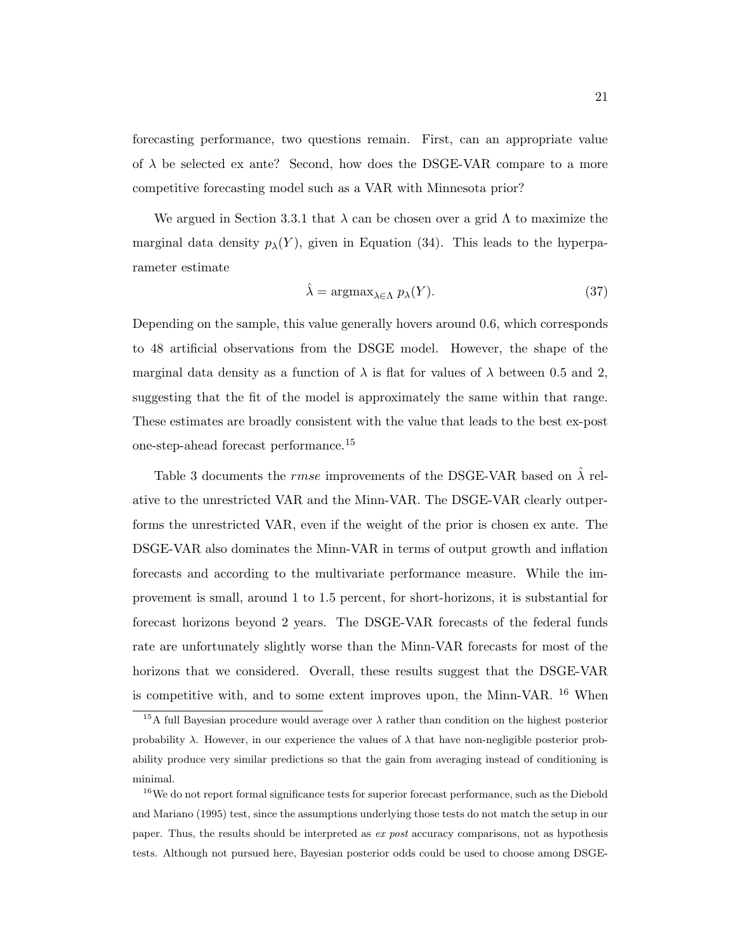forecasting performance, two questions remain. First, can an appropriate value of  $\lambda$  be selected ex ante? Second, how does the DSGE-VAR compare to a more competitive forecasting model such as a VAR with Minnesota prior?

We argued in Section 3.3.1 that  $\lambda$  can be chosen over a grid  $\Lambda$  to maximize the marginal data density  $p_{\lambda}(Y)$ , given in Equation (34). This leads to the hyperparameter estimate

$$
\hat{\lambda} = \operatorname{argmax}_{\lambda \in \Lambda} p_{\lambda}(Y). \tag{37}
$$

Depending on the sample, this value generally hovers around 0.6, which corresponds to 48 artificial observations from the DSGE model. However, the shape of the marginal data density as a function of  $\lambda$  is flat for values of  $\lambda$  between 0.5 and 2, suggesting that the fit of the model is approximately the same within that range. These estimates are broadly consistent with the value that leads to the best ex-post one-step-ahead forecast performance.<sup>15</sup>

Table 3 documents the *rmse* improvements of the DSGE-VAR based on  $\hat{\lambda}$  relative to the unrestricted VAR and the Minn-VAR. The DSGE-VAR clearly outperforms the unrestricted VAR, even if the weight of the prior is chosen ex ante. The DSGE-VAR also dominates the Minn-VAR in terms of output growth and inflation forecasts and according to the multivariate performance measure. While the improvement is small, around 1 to 1.5 percent, for short-horizons, it is substantial for forecast horizons beyond 2 years. The DSGE-VAR forecasts of the federal funds rate are unfortunately slightly worse than the Minn-VAR forecasts for most of the horizons that we considered. Overall, these results suggest that the DSGE-VAR is competitive with, and to some extent improves upon, the Minn-VAR. <sup>16</sup> When

<sup>&</sup>lt;sup>15</sup>A full Bayesian procedure would average over  $\lambda$  rather than condition on the highest posterior probability  $\lambda$ . However, in our experience the values of  $\lambda$  that have non-negligible posterior probability produce very similar predictions so that the gain from averaging instead of conditioning is minimal.

<sup>&</sup>lt;sup>16</sup>We do not report formal significance tests for superior forecast performance, such as the Diebold and Mariano (1995) test, since the assumptions underlying those tests do not match the setup in our paper. Thus, the results should be interpreted as ex post accuracy comparisons, not as hypothesis tests. Although not pursued here, Bayesian posterior odds could be used to choose among DSGE-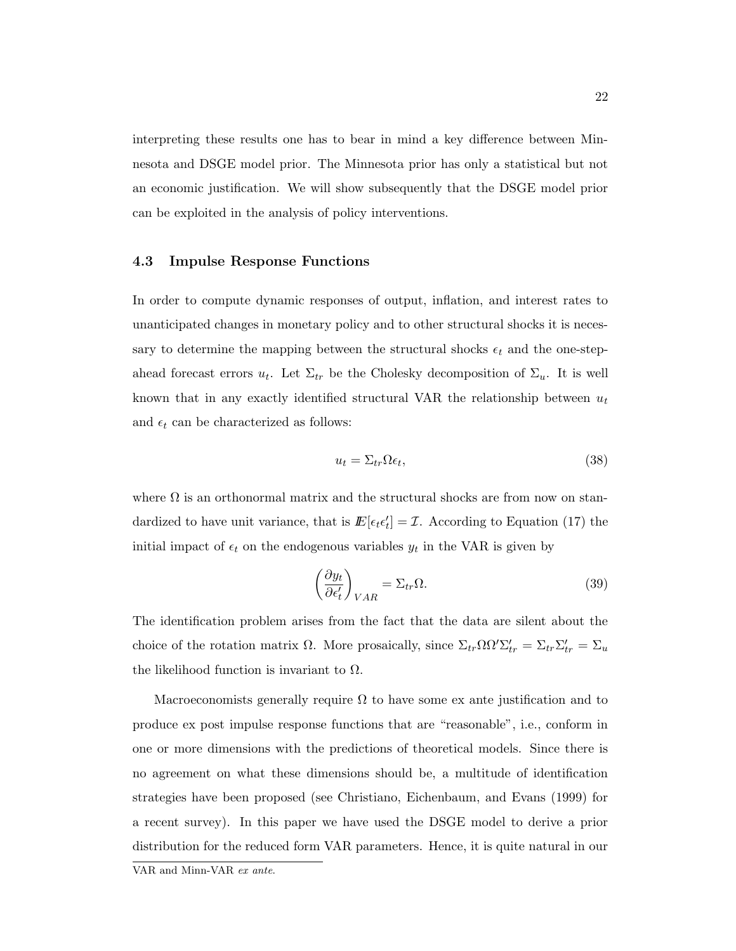interpreting these results one has to bear in mind a key difference between Minnesota and DSGE model prior. The Minnesota prior has only a statistical but not an economic justification. We will show subsequently that the DSGE model prior can be exploited in the analysis of policy interventions.

## 4.3 Impulse Response Functions

In order to compute dynamic responses of output, inflation, and interest rates to unanticipated changes in monetary policy and to other structural shocks it is necessary to determine the mapping between the structural shocks  $\epsilon_t$  and the one-stepahead forecast errors  $u_t$ . Let  $\Sigma_{tr}$  be the Cholesky decomposition of  $\Sigma_u$ . It is well known that in any exactly identified structural VAR the relationship between  $u_t$ and  $\epsilon_t$  can be characterized as follows:

$$
u_t = \Sigma_{tr} \Omega \epsilon_t, \tag{38}
$$

where  $\Omega$  is an orthonormal matrix and the structural shocks are from now on standardized to have unit variance, that is  $E[\epsilon_t \epsilon'_t] = \mathcal{I}$ . According to Equation (17) the initial impact of  $\epsilon_t$  on the endogenous variables  $y_t$  in the VAR is given by

$$
\left(\frac{\partial y_t}{\partial \epsilon'_t}\right)_{VAR} = \Sigma_{tr} \Omega.
$$
\n(39)

The identification problem arises from the fact that the data are silent about the choice of the rotation matrix  $\Omega$ . More prosaically, since  $\Sigma_{tr} \Omega \Omega' \Sigma'_{tr} = \Sigma_{tr} \Sigma'_{tr} = \Sigma_u$ the likelihood function is invariant to  $\Omega$ .

Macroeconomists generally require  $\Omega$  to have some ex ante justification and to produce ex post impulse response functions that are "reasonable", i.e., conform in one or more dimensions with the predictions of theoretical models. Since there is no agreement on what these dimensions should be, a multitude of identification strategies have been proposed (see Christiano, Eichenbaum, and Evans (1999) for a recent survey). In this paper we have used the DSGE model to derive a prior distribution for the reduced form VAR parameters. Hence, it is quite natural in our

VAR and Minn-VAR ex ante.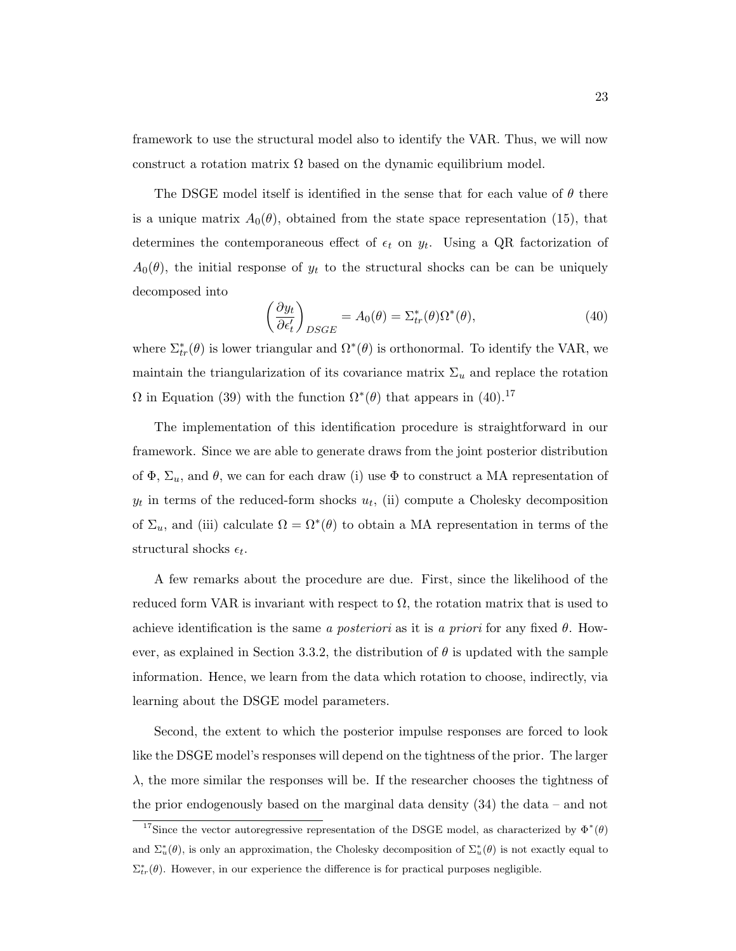framework to use the structural model also to identify the VAR. Thus, we will now construct a rotation matrix  $\Omega$  based on the dynamic equilibrium model.

The DSGE model itself is identified in the sense that for each value of  $\theta$  there is a unique matrix  $A_0(\theta)$ , obtained from the state space representation (15), that determines the contemporaneous effect of  $\epsilon_t$  on  $y_t$ . Using a QR factorization of  $A_0(\theta)$ , the initial response of  $y_t$  to the structural shocks can be can be uniquely decomposed into

$$
\left(\frac{\partial y_t}{\partial \epsilon'_t}\right)_{DSGE} = A_0(\theta) = \Sigma^*_{tr}(\theta)\Omega^*(\theta),\tag{40}
$$

where  $\Sigma^*_{tr}(\theta)$  is lower triangular and  $\Omega^*(\theta)$  is orthonormal. To identify the VAR, we maintain the triangularization of its covariance matrix  $\Sigma_u$  and replace the rotation  $\Omega$  in Equation (39) with the function  $\Omega^*(\theta)$  that appears in (40).<sup>17</sup>

The implementation of this identification procedure is straightforward in our framework. Since we are able to generate draws from the joint posterior distribution of  $\Phi$ ,  $\Sigma_u$ , and  $\theta$ , we can for each draw (i) use  $\Phi$  to construct a MA representation of  $y_t$  in terms of the reduced-form shocks  $u_t$ , (ii) compute a Cholesky decomposition of  $\Sigma_u$ , and (iii) calculate  $\Omega = \Omega^*(\theta)$  to obtain a MA representation in terms of the structural shocks  $\epsilon_t$ .

A few remarks about the procedure are due. First, since the likelihood of the reduced form VAR is invariant with respect to  $\Omega$ , the rotation matrix that is used to achieve identification is the same a posteriori as it is a priori for any fixed  $\theta$ . However, as explained in Section 3.3.2, the distribution of  $\theta$  is updated with the sample information. Hence, we learn from the data which rotation to choose, indirectly, via learning about the DSGE model parameters.

Second, the extent to which the posterior impulse responses are forced to look like the DSGE model's responses will depend on the tightness of the prior. The larger  $\lambda$ , the more similar the responses will be. If the researcher chooses the tightness of the prior endogenously based on the marginal data density (34) the data – and not

<sup>&</sup>lt;sup>17</sup>Since the vector autoregressive representation of the DSGE model, as characterized by  $\Phi^*(\theta)$ and  $\Sigma_u^*(\theta)$ , is only an approximation, the Cholesky decomposition of  $\Sigma_u^*(\theta)$  is not exactly equal to  $\Sigma^*_{tr}(\theta)$ . However, in our experience the difference is for practical purposes negligible.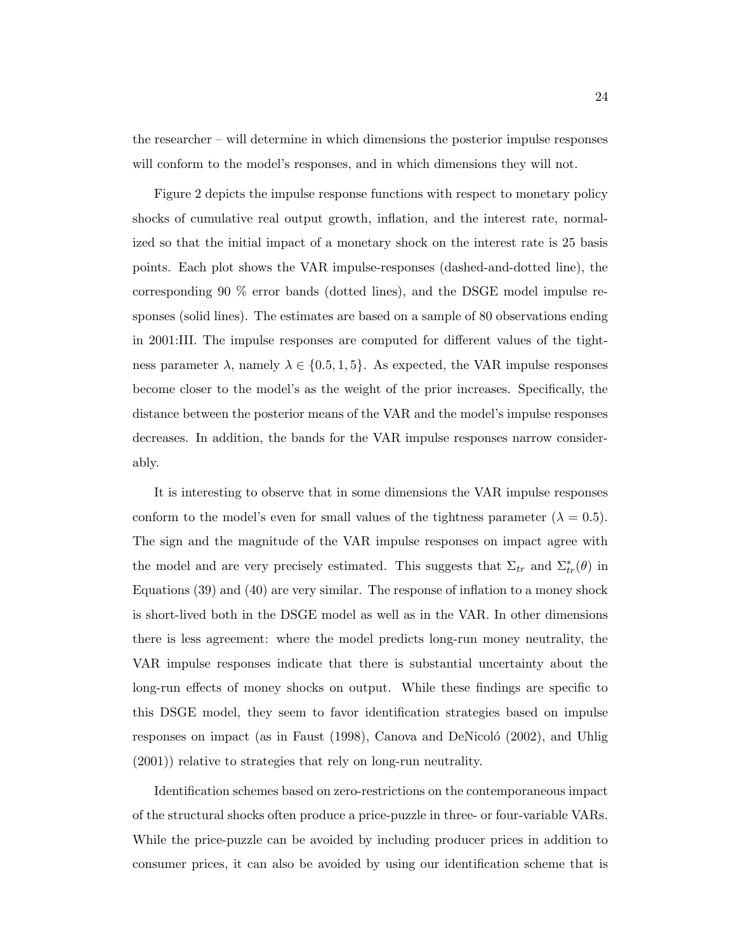the researcher – will determine in which dimensions the posterior impulse responses will conform to the model's responses, and in which dimensions they will not.

Figure 2 depicts the impulse response functions with respect to monetary policy shocks of cumulative real output growth, inflation, and the interest rate, normalized so that the initial impact of a monetary shock on the interest rate is 25 basis points. Each plot shows the VAR impulse-responses (dashed-and-dotted line), the corresponding 90 % error bands (dotted lines), and the DSGE model impulse responses (solid lines). The estimates are based on a sample of 80 observations ending in 2001:III. The impulse responses are computed for different values of the tightness parameter  $\lambda$ , namely  $\lambda \in \{0.5, 1, 5\}$ . As expected, the VAR impulse responses become closer to the model's as the weight of the prior increases. Specifically, the distance between the posterior means of the VAR and the model's impulse responses decreases. In addition, the bands for the VAR impulse responses narrow considerably.

It is interesting to observe that in some dimensions the VAR impulse responses conform to the model's even for small values of the tightness parameter ( $\lambda = 0.5$ ). The sign and the magnitude of the VAR impulse responses on impact agree with the model and are very precisely estimated. This suggests that  $\Sigma_{tr}$  and  $\Sigma_{tr}^*(\theta)$  in Equations (39) and (40) are very similar. The response of inflation to a money shock is short-lived both in the DSGE model as well as in the VAR. In other dimensions there is less agreement: where the model predicts long-run money neutrality, the VAR impulse responses indicate that there is substantial uncertainty about the long-run effects of money shocks on output. While these findings are specific to this DSGE model, they seem to favor identification strategies based on impulse responses on impact (as in Faust  $(1998)$ , Canova and DeNicoló  $(2002)$ , and Uhlig (2001)) relative to strategies that rely on long-run neutrality.

Identification schemes based on zero-restrictions on the contemporaneous impact of the structural shocks often produce a price-puzzle in three- or four-variable VARs. While the price-puzzle can be avoided by including producer prices in addition to consumer prices, it can also be avoided by using our identification scheme that is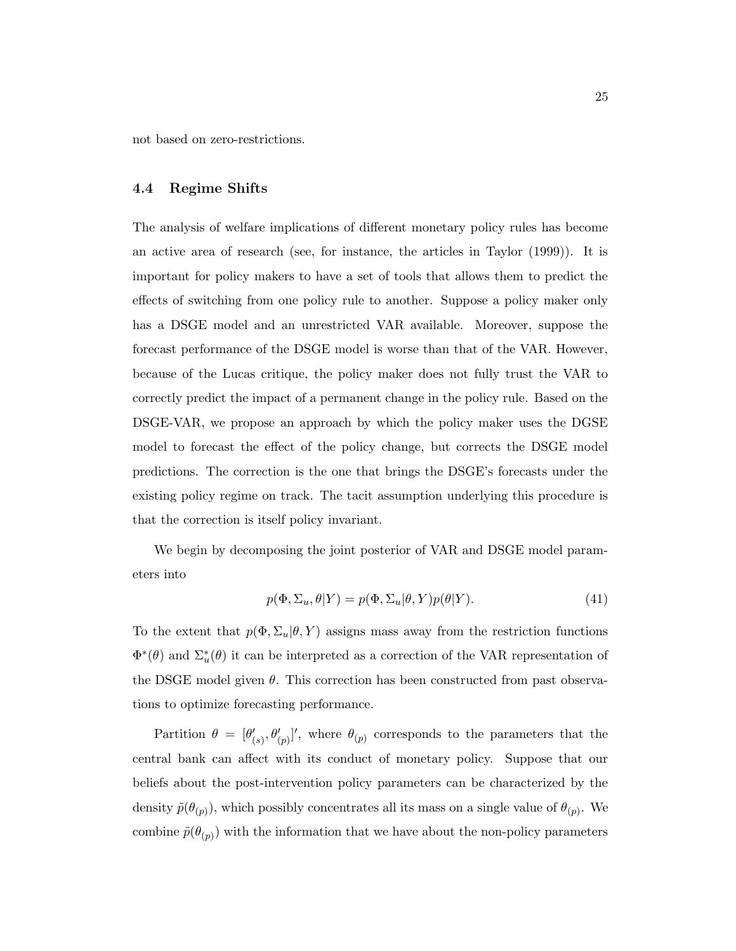not based on zero-restrictions.

## 4.4 Regime Shifts

The analysis of welfare implications of different monetary policy rules has become an active area of research (see, for instance, the articles in Taylor (1999)). It is important for policy makers to have a set of tools that allows them to predict the effects of switching from one policy rule to another. Suppose a policy maker only has a DSGE model and an unrestricted VAR available. Moreover, suppose the forecast performance of the DSGE model is worse than that of the VAR. However, because of the Lucas critique, the policy maker does not fully trust the VAR to correctly predict the impact of a permanent change in the policy rule. Based on the DSGE-VAR, we propose an approach by which the policy maker uses the DGSE model to forecast the effect of the policy change, but corrects the DSGE model predictions. The correction is the one that brings the DSGE's forecasts under the existing policy regime on track. The tacit assumption underlying this procedure is that the correction is itself policy invariant.

We begin by decomposing the joint posterior of VAR and DSGE model parameters into

$$
p(\Phi, \Sigma_u, \theta | Y) = p(\Phi, \Sigma_u | \theta, Y) p(\theta | Y).
$$
\n(41)

To the extent that  $p(\Phi, \Sigma_u | \theta, Y)$  assigns mass away from the restriction functions  $\Phi^*(\theta)$  and  $\Sigma^*_u(\theta)$  it can be interpreted as a correction of the VAR representation of the DSGE model given  $\theta$ . This correction has been constructed from past observations to optimize forecasting performance.

Partition  $\theta = [\theta'_{(s)}, \theta'_{(p)}]'$ , where  $\theta_{(p)}$  corresponds to the parameters that the central bank can affect with its conduct of monetary policy. Suppose that our beliefs about the post-intervention policy parameters can be characterized by the density  $\tilde{p}(\theta_{(p)})$ , which possibly concentrates all its mass on a single value of  $\theta_{(p)}$ . We combine  $\tilde{p}(\theta_{(p)})$  with the information that we have about the non-policy parameters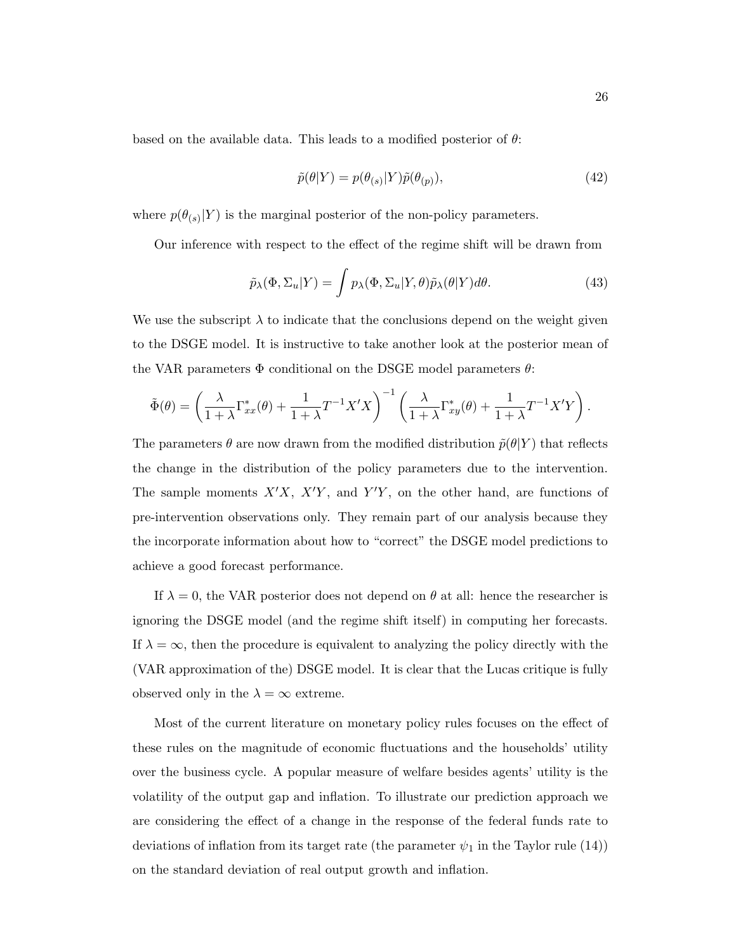based on the available data. This leads to a modified posterior of  $\theta$ :

$$
\tilde{p}(\theta|Y) = p(\theta_{(s)}|Y)\tilde{p}(\theta_{(p)}),\tag{42}
$$

where  $p(\theta_{(s)}|Y)$  is the marginal posterior of the non-policy parameters.

Our inference with respect to the effect of the regime shift will be drawn from

$$
\tilde{p}_{\lambda}(\Phi, \Sigma_u | Y) = \int p_{\lambda}(\Phi, \Sigma_u | Y, \theta) \tilde{p}_{\lambda}(\theta | Y) d\theta.
$$
\n(43)

We use the subscript  $\lambda$  to indicate that the conclusions depend on the weight given to the DSGE model. It is instructive to take another look at the posterior mean of the VAR parameters  $\Phi$  conditional on the DSGE model parameters  $\theta$ :

$$
\tilde{\Phi}(\theta) = \left(\frac{\lambda}{1+\lambda} \Gamma_{xx}^*(\theta) + \frac{1}{1+\lambda} T^{-1} X' X\right)^{-1} \left(\frac{\lambda}{1+\lambda} \Gamma_{xy}^*(\theta) + \frac{1}{1+\lambda} T^{-1} X' Y\right).
$$

The parameters  $\theta$  are now drawn from the modified distribution  $\tilde{p}(\theta|Y)$  that reflects the change in the distribution of the policy parameters due to the intervention. The sample moments  $X'X$ ,  $X'Y$ , and  $Y'Y$ , on the other hand, are functions of pre-intervention observations only. They remain part of our analysis because they the incorporate information about how to "correct" the DSGE model predictions to achieve a good forecast performance.

If  $\lambda = 0$ , the VAR posterior does not depend on  $\theta$  at all: hence the researcher is ignoring the DSGE model (and the regime shift itself) in computing her forecasts. If  $\lambda = \infty$ , then the procedure is equivalent to analyzing the policy directly with the (VAR approximation of the) DSGE model. It is clear that the Lucas critique is fully observed only in the  $\lambda = \infty$  extreme.

Most of the current literature on monetary policy rules focuses on the effect of these rules on the magnitude of economic fluctuations and the households' utility over the business cycle. A popular measure of welfare besides agents' utility is the volatility of the output gap and inflation. To illustrate our prediction approach we are considering the effect of a change in the response of the federal funds rate to deviations of inflation from its target rate (the parameter  $\psi_1$  in the Taylor rule (14)) on the standard deviation of real output growth and inflation.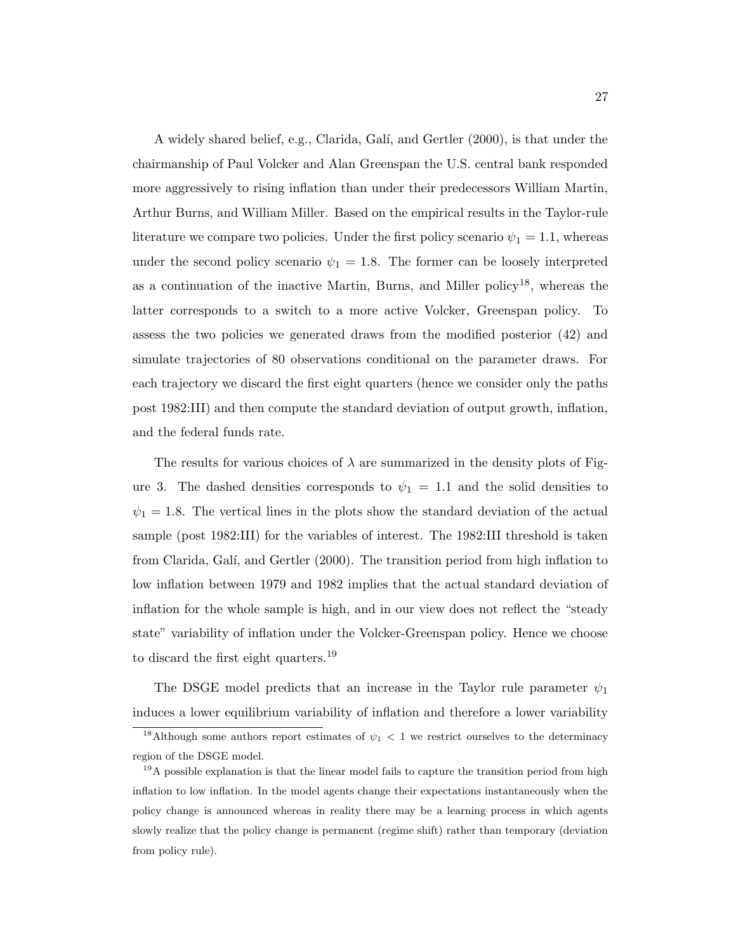A widely shared belief, e.g., Clarida, Gal´ı, and Gertler (2000), is that under the chairmanship of Paul Volcker and Alan Greenspan the U.S. central bank responded more aggressively to rising inflation than under their predecessors William Martin, Arthur Burns, and William Miller. Based on the empirical results in the Taylor-rule literature we compare two policies. Under the first policy scenario  $\psi_1 = 1.1$ , whereas under the second policy scenario  $\psi_1 = 1.8$ . The former can be loosely interpreted as a continuation of the inactive Martin, Burns, and Miller policy<sup>18</sup>, whereas the latter corresponds to a switch to a more active Volcker, Greenspan policy. To assess the two policies we generated draws from the modified posterior (42) and simulate trajectories of 80 observations conditional on the parameter draws. For each trajectory we discard the first eight quarters (hence we consider only the paths post 1982:III) and then compute the standard deviation of output growth, inflation, and the federal funds rate.

The results for various choices of  $\lambda$  are summarized in the density plots of Figure 3. The dashed densities corresponds to  $\psi_1 = 1.1$  and the solid densities to  $\psi_1 = 1.8$ . The vertical lines in the plots show the standard deviation of the actual sample (post 1982:III) for the variables of interest. The 1982:III threshold is taken from Clarida, Galí, and Gertler (2000). The transition period from high inflation to low inflation between 1979 and 1982 implies that the actual standard deviation of inflation for the whole sample is high, and in our view does not reflect the "steady state" variability of inflation under the Volcker-Greenspan policy. Hence we choose to discard the first eight quarters.<sup>19</sup>

The DSGE model predicts that an increase in the Taylor rule parameter  $\psi_1$ induces a lower equilibrium variability of inflation and therefore a lower variability

<sup>&</sup>lt;sup>18</sup>Although some authors report estimates of  $\psi_1$  < 1 we restrict ourselves to the determinacy region of the DSGE model.

<sup>&</sup>lt;sup>19</sup>A possible explanation is that the linear model fails to capture the transition period from high inflation to low inflation. In the model agents change their expectations instantaneously when the policy change is announced whereas in reality there may be a learning process in which agents slowly realize that the policy change is permanent (regime shift) rather than temporary (deviation from policy rule).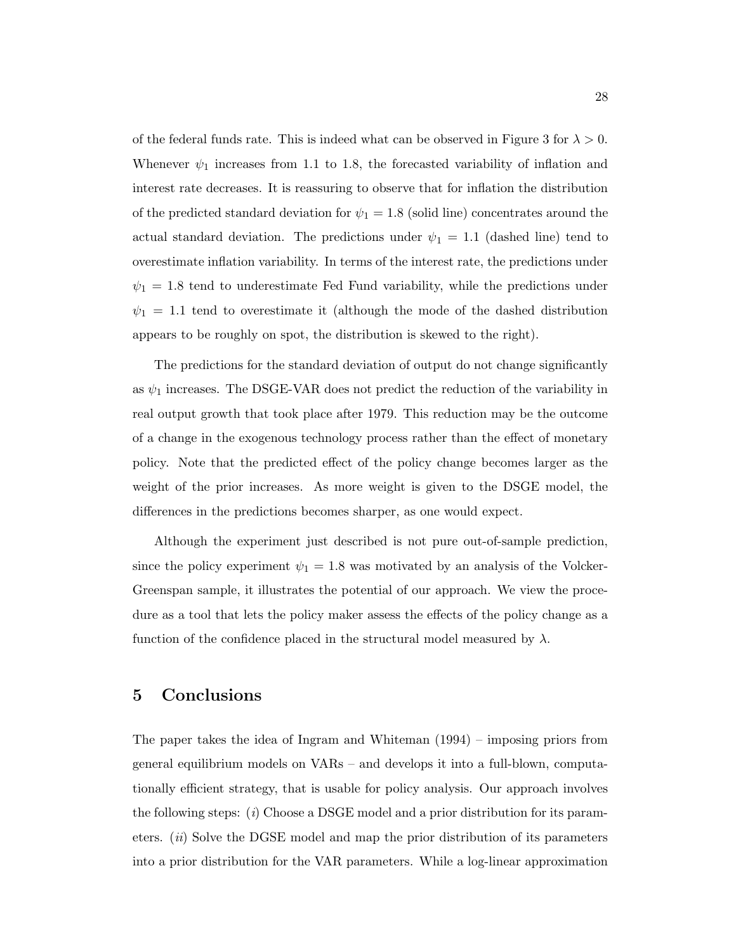of the federal funds rate. This is indeed what can be observed in Figure 3 for  $\lambda > 0$ . Whenever  $\psi_1$  increases from 1.1 to 1.8, the forecasted variability of inflation and interest rate decreases. It is reassuring to observe that for inflation the distribution of the predicted standard deviation for  $\psi_1 = 1.8$  (solid line) concentrates around the actual standard deviation. The predictions under  $\psi_1 = 1.1$  (dashed line) tend to overestimate inflation variability. In terms of the interest rate, the predictions under  $\psi_1 = 1.8$  tend to underestimate Fed Fund variability, while the predictions under  $\psi_1 = 1.1$  tend to overestimate it (although the mode of the dashed distribution appears to be roughly on spot, the distribution is skewed to the right).

The predictions for the standard deviation of output do not change significantly as  $\psi_1$  increases. The DSGE-VAR does not predict the reduction of the variability in real output growth that took place after 1979. This reduction may be the outcome of a change in the exogenous technology process rather than the effect of monetary policy. Note that the predicted effect of the policy change becomes larger as the weight of the prior increases. As more weight is given to the DSGE model, the differences in the predictions becomes sharper, as one would expect.

Although the experiment just described is not pure out-of-sample prediction, since the policy experiment  $\psi_1 = 1.8$  was motivated by an analysis of the Volcker-Greenspan sample, it illustrates the potential of our approach. We view the procedure as a tool that lets the policy maker assess the effects of the policy change as a function of the confidence placed in the structural model measured by  $\lambda$ .

# 5 Conclusions

The paper takes the idea of Ingram and Whiteman (1994) – imposing priors from general equilibrium models on VARs – and develops it into a full-blown, computationally efficient strategy, that is usable for policy analysis. Our approach involves the following steps: (i) Choose a DSGE model and a prior distribution for its parameters.  $(ii)$  Solve the DGSE model and map the prior distribution of its parameters into a prior distribution for the VAR parameters. While a log-linear approximation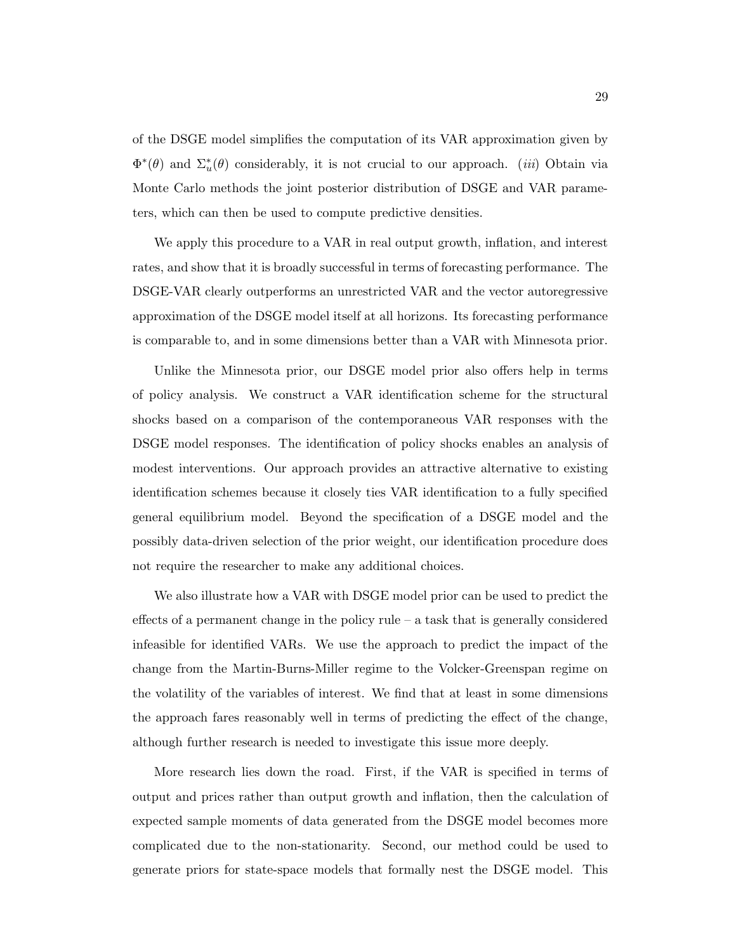of the DSGE model simplifies the computation of its VAR approximation given by  $\Phi^*(\theta)$  and  $\Sigma^*_u(\theta)$  considerably, it is not crucial to our approach. *(iii)* Obtain via Monte Carlo methods the joint posterior distribution of DSGE and VAR parameters, which can then be used to compute predictive densities.

We apply this procedure to a VAR in real output growth, inflation, and interest rates, and show that it is broadly successful in terms of forecasting performance. The DSGE-VAR clearly outperforms an unrestricted VAR and the vector autoregressive approximation of the DSGE model itself at all horizons. Its forecasting performance is comparable to, and in some dimensions better than a VAR with Minnesota prior.

Unlike the Minnesota prior, our DSGE model prior also offers help in terms of policy analysis. We construct a VAR identification scheme for the structural shocks based on a comparison of the contemporaneous VAR responses with the DSGE model responses. The identification of policy shocks enables an analysis of modest interventions. Our approach provides an attractive alternative to existing identification schemes because it closely ties VAR identification to a fully specified general equilibrium model. Beyond the specification of a DSGE model and the possibly data-driven selection of the prior weight, our identification procedure does not require the researcher to make any additional choices.

We also illustrate how a VAR with DSGE model prior can be used to predict the effects of a permanent change in the policy rule – a task that is generally considered infeasible for identified VARs. We use the approach to predict the impact of the change from the Martin-Burns-Miller regime to the Volcker-Greenspan regime on the volatility of the variables of interest. We find that at least in some dimensions the approach fares reasonably well in terms of predicting the effect of the change, although further research is needed to investigate this issue more deeply.

More research lies down the road. First, if the VAR is specified in terms of output and prices rather than output growth and inflation, then the calculation of expected sample moments of data generated from the DSGE model becomes more complicated due to the non-stationarity. Second, our method could be used to generate priors for state-space models that formally nest the DSGE model. This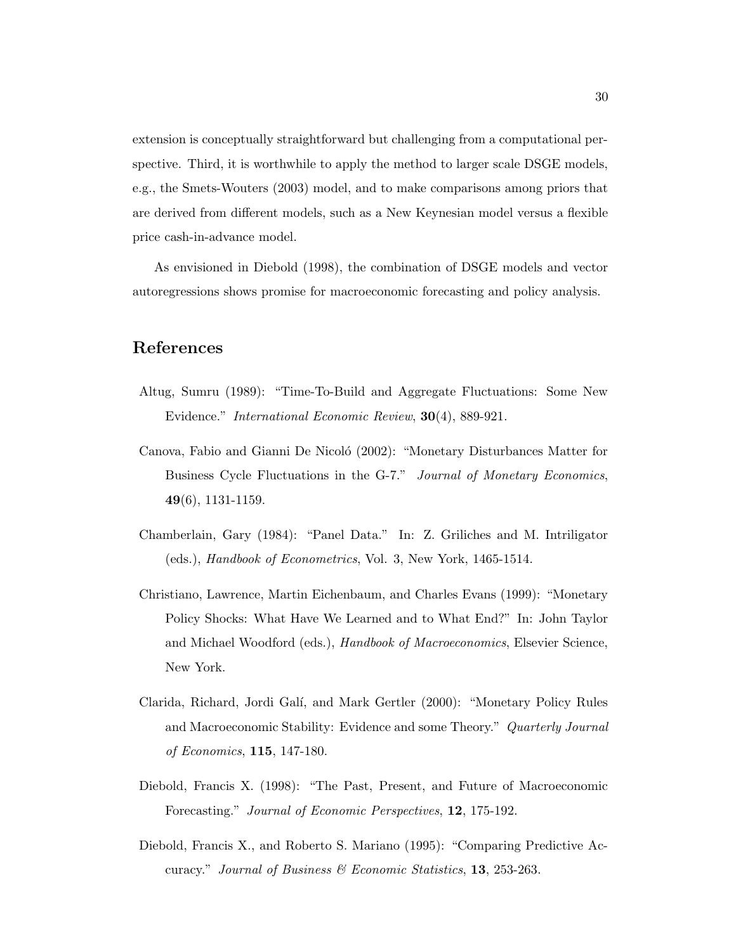extension is conceptually straightforward but challenging from a computational perspective. Third, it is worthwhile to apply the method to larger scale DSGE models, e.g., the Smets-Wouters (2003) model, and to make comparisons among priors that are derived from different models, such as a New Keynesian model versus a flexible price cash-in-advance model.

As envisioned in Diebold (1998), the combination of DSGE models and vector autoregressions shows promise for macroeconomic forecasting and policy analysis.

# References

- Altug, Sumru (1989): "Time-To-Build and Aggregate Fluctuations: Some New Evidence." International Economic Review, 30(4), 889-921.
- Canova, Fabio and Gianni De Nicoló (2002): "Monetary Disturbances Matter for Business Cycle Fluctuations in the G-7." Journal of Monetary Economics, 49(6), 1131-1159.
- Chamberlain, Gary (1984): "Panel Data." In: Z. Griliches and M. Intriligator (eds.), Handbook of Econometrics, Vol. 3, New York, 1465-1514.
- Christiano, Lawrence, Martin Eichenbaum, and Charles Evans (1999): "Monetary Policy Shocks: What Have We Learned and to What End?" In: John Taylor and Michael Woodford (eds.), Handbook of Macroeconomics, Elsevier Science, New York.
- Clarida, Richard, Jordi Galí, and Mark Gertler (2000): "Monetary Policy Rules and Macroeconomic Stability: Evidence and some Theory." Quarterly Journal of Economics, 115, 147-180.
- Diebold, Francis X. (1998): "The Past, Present, and Future of Macroeconomic Forecasting." Journal of Economic Perspectives, 12, 175-192.
- Diebold, Francis X., and Roberto S. Mariano (1995): "Comparing Predictive Accuracy." Journal of Business & Economic Statistics, 13, 253-263.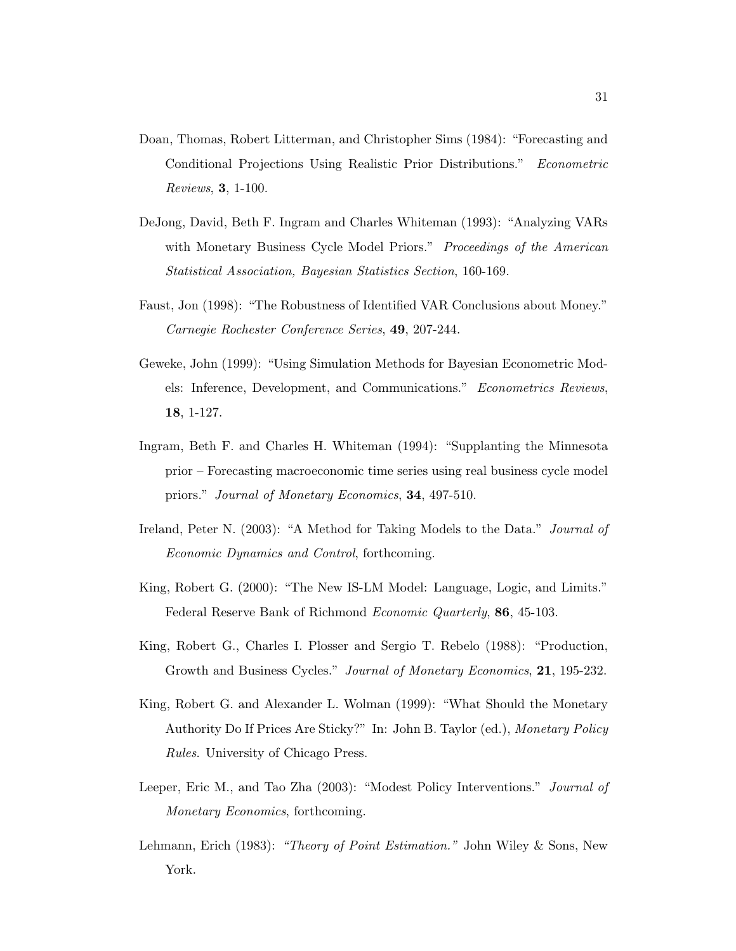- Doan, Thomas, Robert Litterman, and Christopher Sims (1984): "Forecasting and Conditional Projections Using Realistic Prior Distributions." Econometric Reviews, 3, 1-100.
- DeJong, David, Beth F. Ingram and Charles Whiteman (1993): "Analyzing VARs with Monetary Business Cycle Model Priors." Proceedings of the American Statistical Association, Bayesian Statistics Section, 160-169.
- Faust, Jon (1998): "The Robustness of Identified VAR Conclusions about Money." Carnegie Rochester Conference Series, 49, 207-244.
- Geweke, John (1999): "Using Simulation Methods for Bayesian Econometric Models: Inference, Development, and Communications." Econometrics Reviews, 18, 1-127.
- Ingram, Beth F. and Charles H. Whiteman (1994): "Supplanting the Minnesota prior – Forecasting macroeconomic time series using real business cycle model priors." Journal of Monetary Economics, 34, 497-510.
- Ireland, Peter N. (2003): "A Method for Taking Models to the Data." Journal of Economic Dynamics and Control, forthcoming.
- King, Robert G. (2000): "The New IS-LM Model: Language, Logic, and Limits." Federal Reserve Bank of Richmond Economic Quarterly, 86, 45-103.
- King, Robert G., Charles I. Plosser and Sergio T. Rebelo (1988): "Production, Growth and Business Cycles." Journal of Monetary Economics, 21, 195-232.
- King, Robert G. and Alexander L. Wolman (1999): "What Should the Monetary Authority Do If Prices Are Sticky?" In: John B. Taylor (ed.), Monetary Policy Rules. University of Chicago Press.
- Leeper, Eric M., and Tao Zha (2003): "Modest Policy Interventions." Journal of Monetary Economics, forthcoming.
- Lehmann, Erich (1983): "Theory of Point Estimation." John Wiley & Sons, New York.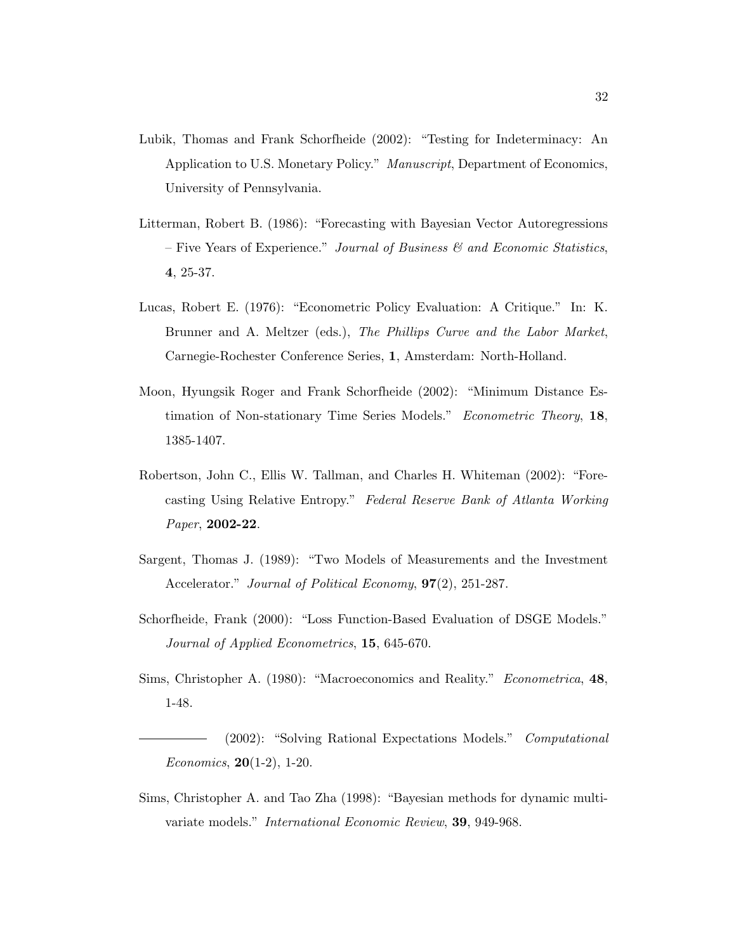- Lubik, Thomas and Frank Schorfheide (2002): "Testing for Indeterminacy: An Application to U.S. Monetary Policy." Manuscript, Department of Economics, University of Pennsylvania.
- Litterman, Robert B. (1986): "Forecasting with Bayesian Vector Autoregressions – Five Years of Experience." Journal of Business  $\mathcal{C}$  and Economic Statistics, 4, 25-37.
- Lucas, Robert E. (1976): "Econometric Policy Evaluation: A Critique." In: K. Brunner and A. Meltzer (eds.), The Phillips Curve and the Labor Market, Carnegie-Rochester Conference Series, 1, Amsterdam: North-Holland.
- Moon, Hyungsik Roger and Frank Schorfheide (2002): "Minimum Distance Estimation of Non-stationary Time Series Models." Econometric Theory, 18, 1385-1407.
- Robertson, John C., Ellis W. Tallman, and Charles H. Whiteman (2002): "Forecasting Using Relative Entropy." Federal Reserve Bank of Atlanta Working Paper, 2002-22.
- Sargent, Thomas J. (1989): "Two Models of Measurements and the Investment Accelerator." Journal of Political Economy,  $97(2)$ , 251-287.
- Schorfheide, Frank (2000): "Loss Function-Based Evaluation of DSGE Models." Journal of Applied Econometrics, 15, 645-670.
- Sims, Christopher A. (1980): "Macroeconomics and Reality." Econometrica, 48, 1-48.

(2002): "Solving Rational Expectations Models." Computational *Economics*, **20**(1-2), 1-20.

Sims, Christopher A. and Tao Zha (1998): "Bayesian methods for dynamic multivariate models." International Economic Review, 39, 949-968.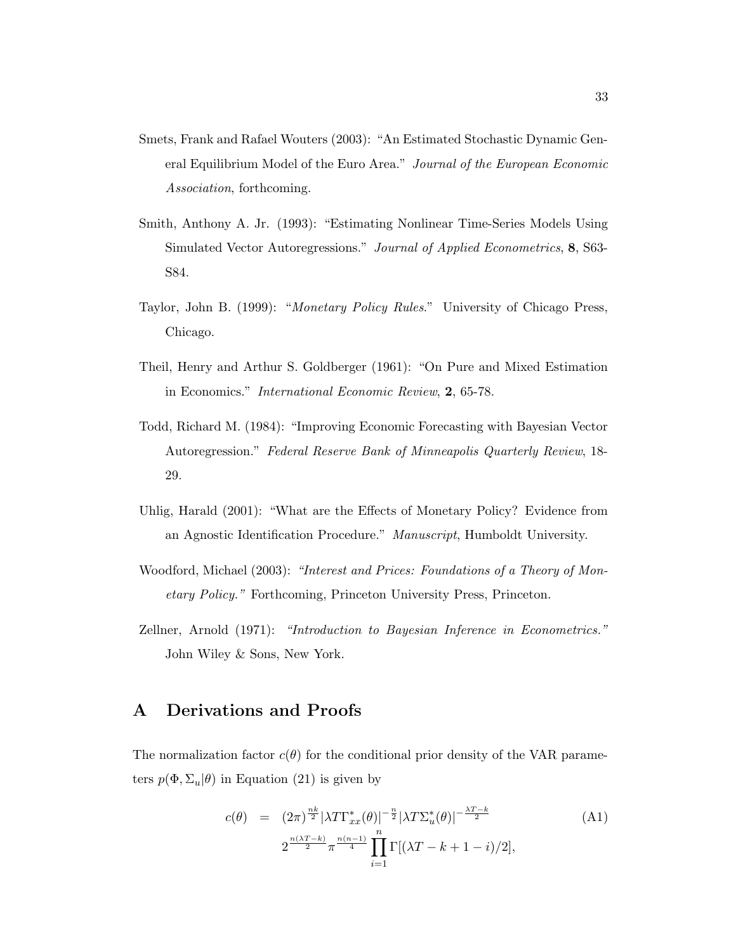- Smets, Frank and Rafael Wouters (2003): "An Estimated Stochastic Dynamic General Equilibrium Model of the Euro Area." Journal of the European Economic Association, forthcoming.
- Smith, Anthony A. Jr. (1993): "Estimating Nonlinear Time-Series Models Using Simulated Vector Autoregressions." Journal of Applied Econometrics, 8, S63- S84.
- Taylor, John B. (1999): "Monetary Policy Rules." University of Chicago Press, Chicago.
- Theil, Henry and Arthur S. Goldberger (1961): "On Pure and Mixed Estimation in Economics." International Economic Review, 2, 65-78.
- Todd, Richard M. (1984): "Improving Economic Forecasting with Bayesian Vector Autoregression." Federal Reserve Bank of Minneapolis Quarterly Review, 18- 29.
- Uhlig, Harald (2001): "What are the Effects of Monetary Policy? Evidence from an Agnostic Identification Procedure." Manuscript, Humboldt University.
- Woodford, Michael (2003): "Interest and Prices: Foundations of a Theory of Monetary Policy." Forthcoming, Princeton University Press, Princeton.
- Zellner, Arnold (1971): "Introduction to Bayesian Inference in Econometrics." John Wiley & Sons, New York.

# A Derivations and Proofs

The normalization factor  $c(\theta)$  for the conditional prior density of the VAR parameters  $p(\Phi, \Sigma_u | \theta)$  in Equation (21) is given by

$$
c(\theta) = (2\pi)^{\frac{nk}{2}} |\lambda T \Gamma_{xx}^*(\theta)|^{-\frac{n}{2}} |\lambda T \Sigma_{u}^*(\theta)|^{-\frac{\lambda T - k}{2}} 2^{\frac{n(\lambda T - k)}{2}} \pi^{\frac{n(n-1)}{4}} \prod_{i=1}^n \Gamma[(\lambda T - k + 1 - i)/2],
$$
 (A1)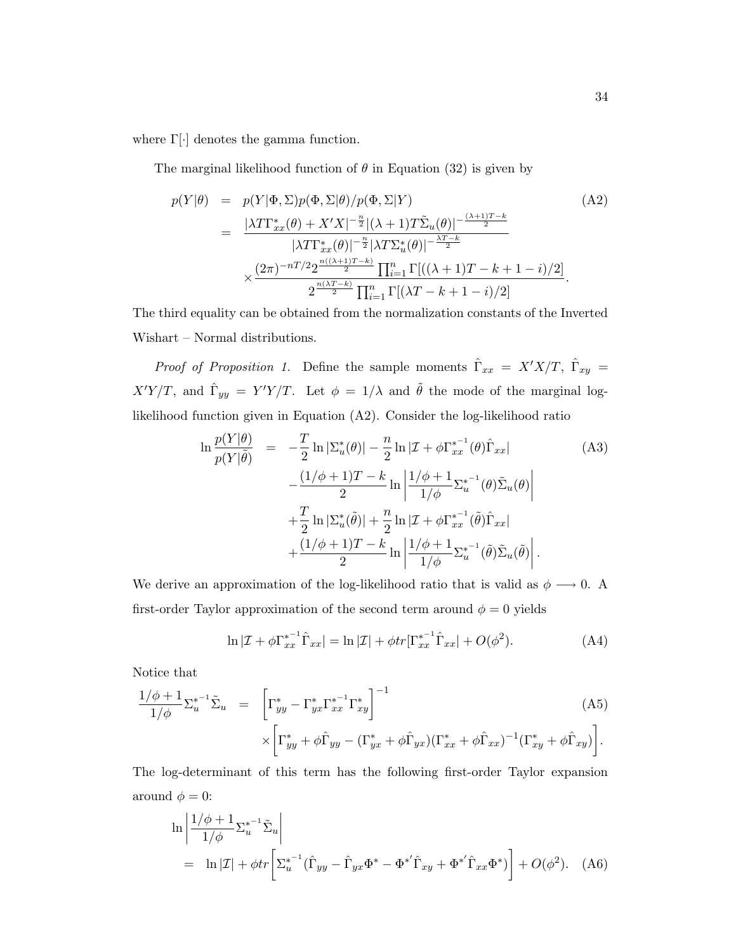where  $\Gamma[\cdot]$  denotes the gamma function.

The marginal likelihood function of  $\theta$  in Equation (32) is given by

$$
p(Y|\theta) = p(Y|\Phi, \Sigma)p(\Phi, \Sigma|\theta)/p(\Phi, \Sigma|Y)
$$
\n
$$
= \frac{|\lambda T\Gamma_{xx}^*(\theta) + X'X|^{-\frac{n}{2}}|(\lambda+1)T\tilde{\Sigma}_u(\theta)|^{-\frac{(\lambda+1)T-k}{2}}}{|\lambda T\Gamma_{xx}^*(\theta)|^{-\frac{n}{2}}|\lambda T\Sigma_u^*(\theta)|^{-\frac{\lambda T-k}{2}}}
$$
\n
$$
\times \frac{(2\pi)^{-nT/2}2^{\frac{n((\lambda+1)T-k)}{2}}\prod_{i=1}^n\Gamma[((\lambda+1)T-k+1-i)/2]}{2^{\frac{n(\lambda T-k)}{2}}\prod_{i=1}^n\Gamma[(\lambda T-k+1-i)/2]}.
$$
\n(A2)

The third equality can be obtained from the normalization constants of the Inverted Wishart – Normal distributions.

*Proof of Proposition 1.* Define the sample moments  $\hat{\Gamma}_{xx} = X'X/T$ ,  $\hat{\Gamma}_{xy} =$  $X'Y/T$ , and  $\hat{\Gamma}_{yy} = Y'Y/T$ . Let  $\phi = 1/\lambda$  and  $\tilde{\theta}$  the mode of the marginal loglikelihood function given in Equation (A2). Consider the log-likelihood ratio

$$
\ln \frac{p(Y|\theta)}{p(Y|\tilde{\theta})} = -\frac{T}{2} \ln |\Sigma_u^*(\theta)| - \frac{n}{2} \ln |\mathcal{I} + \phi \Gamma_{xx}^{*^{-1}}(\theta) \hat{\Gamma}_{xx}|
$$
\n
$$
- \frac{(1/\phi + 1)T - k}{2} \ln \left| \frac{1/\phi + 1}{1/\phi} \Sigma_u^{*^{-1}}(\theta) \tilde{\Sigma}_u(\theta) \right|
$$
\n
$$
+ \frac{T}{2} \ln |\Sigma_u^*(\tilde{\theta})| + \frac{n}{2} \ln |\mathcal{I} + \phi \Gamma_{xx}^{*^{-1}}(\tilde{\theta}) \hat{\Gamma}_{xx}|
$$
\n
$$
+ \frac{(1/\phi + 1)T - k}{2} \ln \left| \frac{1/\phi + 1}{1/\phi} \Sigma_u^{*^{-1}}(\tilde{\theta}) \tilde{\Sigma}_u(\tilde{\theta}) \right|.
$$
\n(A3)

We derive an approximation of the log-likelihood ratio that is valid as  $\phi \longrightarrow 0$ . A first-order Taylor approximation of the second term around  $\phi = 0$  yields

$$
\ln |\mathcal{I} + \phi \Gamma_{xx}^{*^{-1}} \hat{\Gamma}_{xx}| = \ln |\mathcal{I}| + \phi tr[\Gamma_{xx}^{*^{-1}} \hat{\Gamma}_{xx}| + O(\phi^2). \tag{A4}
$$

Notice that

$$
\frac{1/\phi+1}{1/\phi} \Sigma_u^{*-1} \tilde{\Sigma}_u = \left[ \Gamma_{yy}^* - \Gamma_{yx}^* \Gamma_{xx}^{*-1} \Gamma_{xy}^* \right]^{-1} \times \left[ \Gamma_{yy}^* + \phi \hat{\Gamma}_{yy} - (\Gamma_{yx}^* + \phi \hat{\Gamma}_{yx}) (\Gamma_{xx}^* + \phi \hat{\Gamma}_{xx})^{-1} (\Gamma_{xy}^* + \phi \hat{\Gamma}_{xy}) \right].
$$
\n(A5)

The log-determinant of this term has the following first-order Taylor expansion around  $\phi = 0$ :

$$
\ln \left| \frac{1/\phi + 1}{1/\phi} \Sigma_u^{*-1} \tilde{\Sigma}_u \right|
$$
  
=  $\ln |\mathcal{I}| + \phi tr \left[ \Sigma_u^{*-1} (\hat{\Gamma}_{yy} - \hat{\Gamma}_{yx} \Phi^* - {\Phi^*}^{\hat{\Gamma}}_{xy} + {\Phi^*}^{\hat{\Gamma}}_{xx} {\Phi^*}) \right] + O(\phi^2).$  (A6)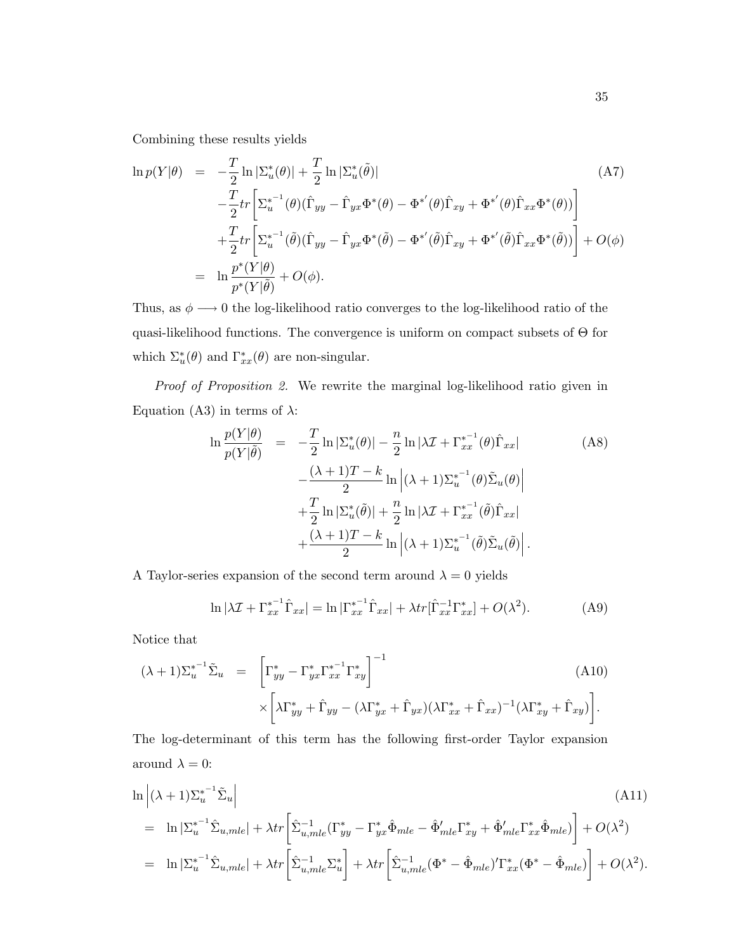Combining these results yields

$$
\ln p(Y|\theta) = -\frac{T}{2}\ln |\Sigma_u^*(\theta)| + \frac{T}{2}\ln |\Sigma_u^*(\tilde{\theta})|
$$
\n
$$
-\frac{T}{2}tr\left[\Sigma_u^{*-1}(\theta)(\hat{\Gamma}_{yy} - \hat{\Gamma}_{yx}\Phi^*(\theta) - \Phi^{*'}(\theta)\hat{\Gamma}_{xy} + \Phi^{*'}(\theta)\hat{\Gamma}_{xx}\Phi^*(\theta))\right]
$$
\n
$$
+\frac{T}{2}tr\left[\Sigma_u^{*-1}(\tilde{\theta})(\hat{\Gamma}_{yy} - \hat{\Gamma}_{yx}\Phi^*(\tilde{\theta}) - \Phi^{*'}(\tilde{\theta})\hat{\Gamma}_{xy} + \Phi^{*'}(\tilde{\theta})\hat{\Gamma}_{xx}\Phi^*(\tilde{\theta}))\right] + O(\phi)
$$
\n
$$
= \ln \frac{p^*(Y|\theta)}{p^*(Y|\tilde{\theta})} + O(\phi).
$$
\n(A7)

Thus, as  $\phi\longrightarrow 0$  the log-likelihood ratio converges to the log-likelihood ratio of the quasi-likelihood functions. The convergence is uniform on compact subsets of Θ for which  $\Sigma_u^*(\theta)$  and  $\Gamma_{xx}^*(\theta)$  are non-singular.

Proof of Proposition 2. We rewrite the marginal log-likelihood ratio given in Equation (A3) in terms of  $\lambda$ :

$$
\ln \frac{p(Y|\theta)}{p(Y|\tilde{\theta})} = -\frac{T}{2} \ln |\Sigma_u^*(\theta)| - \frac{n}{2} \ln |\lambda \mathcal{I} + \Gamma_{xx}^{*^{-1}}(\theta) \hat{\Gamma}_{xx}|
$$
\n
$$
- \frac{(\lambda + 1)T - k}{2} \ln |\lambda + 1| \Sigma_u^{*^{-1}}(\theta) \tilde{\Sigma}_u(\theta)|
$$
\n
$$
+ \frac{T}{2} \ln |\Sigma_u^*(\tilde{\theta})| + \frac{n}{2} \ln |\lambda \mathcal{I} + \Gamma_{xx}^{*^{-1}}(\tilde{\theta}) \hat{\Gamma}_{xx}|
$$
\n
$$
+ \frac{(\lambda + 1)T - k}{2} \ln |\lambda + 1| \Sigma_u^{*^{-1}}(\tilde{\theta}) \tilde{\Sigma}_u(\tilde{\theta})|.
$$
\n(A8)

A Taylor-series expansion of the second term around  $\lambda = 0$  yields

$$
\ln|\lambda \mathcal{I} + \Gamma_{xx}^{*^{-1}} \hat{\Gamma}_{xx}| = \ln|\Gamma_{xx}^{*^{-1}} \hat{\Gamma}_{xx}| + \lambda tr[\hat{\Gamma}_{xx}^{-1} \Gamma_{xx}^*] + O(\lambda^2). \tag{A9}
$$

Notice that

$$
(\lambda + 1)\Sigma_u^{*^{-1}}\tilde{\Sigma}_u = \left[\Gamma_{yy}^* - \Gamma_{yx}^*\Gamma_{xx}^{*^{-1}}\Gamma_{xy}^*\right]^{-1} \times \left[\lambda\Gamma_{yy}^* + \hat{\Gamma}_{yy} - (\lambda\Gamma_{yx}^* + \hat{\Gamma}_{yx})(\lambda\Gamma_{xx}^* + \hat{\Gamma}_{xx})^{-1}(\lambda\Gamma_{xy}^* + \hat{\Gamma}_{xy})\right].
$$
\n(A10)

The log-determinant of this term has the following first-order Taylor expansion around  $\lambda = 0$ :

$$
\ln |(\lambda + 1)\Sigma_{u}^{*^{-1}}\tilde{\Sigma}_{u}|
$$
\n
$$
= \ln |\Sigma_{u}^{*^{-1}}\hat{\Sigma}_{u,mle}| + \lambda tr \left[\hat{\Sigma}_{u,mle}^{-1}(\Gamma_{yy}^{*} - \Gamma_{yx}^{*}\hat{\Phi}_{mle} - \hat{\Phi}_{mle}^{\prime}\Gamma_{xy}^{*} + \hat{\Phi}_{mle}^{\prime}\Gamma_{xx}^{*}\hat{\Phi}_{mle})\right] + O(\lambda^{2})
$$
\n
$$
= \ln |\Sigma_{u}^{*^{-1}}\hat{\Sigma}_{u,mle}| + \lambda tr \left[\hat{\Sigma}_{u,mle}^{-1}\Sigma_{u}^{*}\right] + \lambda tr \left[\hat{\Sigma}_{u,mle}^{-1}(\Phi^{*} - \hat{\Phi}_{mle})^{\prime}\Gamma_{xx}^{*}(\Phi^{*} - \hat{\Phi}_{mle})\right] + O(\lambda^{2}).
$$
\n(A11)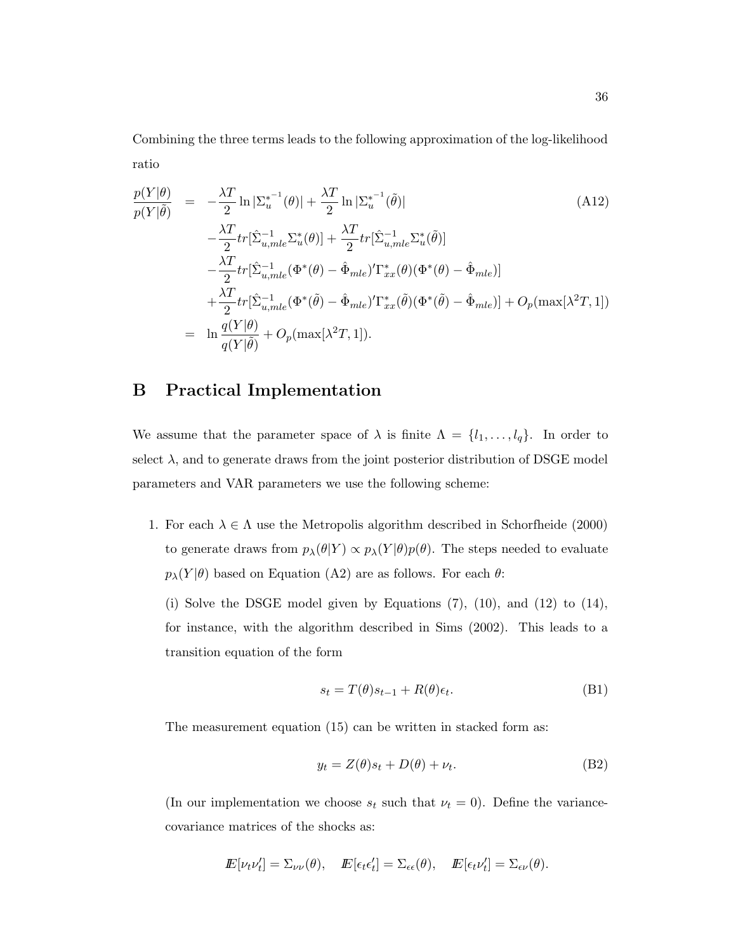Combining the three terms leads to the following approximation of the log-likelihood ratio

$$
\frac{p(Y|\theta)}{p(Y|\tilde{\theta})} = -\frac{\lambda T}{2} \ln |\Sigma_{u}^{*^{-1}}(\theta)| + \frac{\lambda T}{2} \ln |\Sigma_{u}^{*^{-1}}(\tilde{\theta})|
$$
\n
$$
-\frac{\lambda T}{2} tr[\hat{\Sigma}_{u,mle}^{-1} \Sigma_{u}^{*}(\theta)] + \frac{\lambda T}{2} tr[\hat{\Sigma}_{u,mle}^{-1} \Sigma_{u}^{*}(\tilde{\theta})]
$$
\n
$$
-\frac{\lambda T}{2} tr[\hat{\Sigma}_{u,mle}^{-1} (\Phi^{*}(\theta) - \hat{\Phi}_{mle})' \Gamma_{xx}^{*}(\theta) (\Phi^{*}(\theta) - \hat{\Phi}_{mle})]
$$
\n
$$
+\frac{\lambda T}{2} tr[\hat{\Sigma}_{u,mle}^{-1} (\Phi^{*}(\tilde{\theta}) - \hat{\Phi}_{mle})' \Gamma_{xx}^{*}(\tilde{\theta}) (\Phi^{*}(\tilde{\theta}) - \hat{\Phi}_{mle})] + O_{p}(\max[\lambda^{2}T, 1])
$$
\n
$$
= \ln \frac{q(Y|\theta)}{q(Y|\tilde{\theta})} + O_{p}(\max[\lambda^{2}T, 1]).
$$
\n(4.12)

# B Practical Implementation

We assume that the parameter space of  $\lambda$  is finite  $\Lambda = \{l_1, \ldots, l_q\}$ . In order to select  $\lambda$ , and to generate draws from the joint posterior distribution of DSGE model parameters and VAR parameters we use the following scheme:

1. For each  $\lambda \in \Lambda$  use the Metropolis algorithm described in Schorfheide (2000) to generate draws from  $p_{\lambda}(\theta|Y) \propto p_{\lambda}(Y|\theta)p(\theta)$ . The steps needed to evaluate  $p_{\lambda}(Y|\theta)$  based on Equation (A2) are as follows. For each  $\theta$ :

(i) Solve the DSGE model given by Equations (7), (10), and (12) to (14), for instance, with the algorithm described in Sims (2002). This leads to a transition equation of the form

$$
s_t = T(\theta)s_{t-1} + R(\theta)\epsilon_t.
$$
 (B1)

The measurement equation (15) can be written in stacked form as:

$$
y_t = Z(\theta)s_t + D(\theta) + \nu_t.
$$
 (B2)

(In our implementation we choose  $s_t$  such that  $\nu_t = 0$ ). Define the variancecovariance matrices of the shocks as:

$$
I\!\!E[\nu_t \nu'_t] = \Sigma_{\nu \nu}(\theta), \quad I\!\!E[\epsilon_t \epsilon'_t] = \Sigma_{\epsilon \epsilon}(\theta), \quad I\!\!E[\epsilon_t \nu'_t] = \Sigma_{\epsilon \nu}(\theta).
$$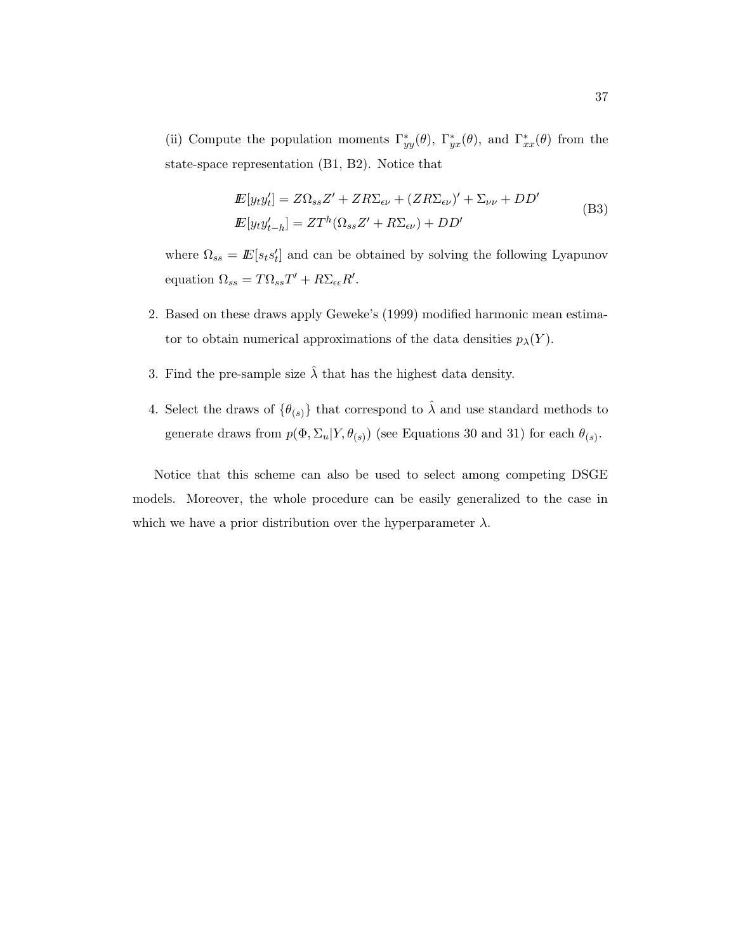(ii) Compute the population moments  $\Gamma_{yy}^*(\theta)$ ,  $\Gamma_{yx}^*(\theta)$ , and  $\Gamma_{xx}^*(\theta)$  from the state-space representation (B1, B2). Notice that

$$
E[y_t y'_t] = Z\Omega_{ss}Z' + ZR\Sigma_{\epsilon\nu} + (ZR\Sigma_{\epsilon\nu})' + \Sigma_{\nu\nu} + DD'
$$
  
\n
$$
E[y_t y'_{t-h}] = ZT^h(\Omega_{ss}Z' + R\Sigma_{\epsilon\nu}) + DD'
$$
 (B3)

where  $\Omega_{ss} = \mathbb{E}[s_ts_t']$  and can be obtained by solving the following Lyapunov equation  $\Omega_{ss} = T \Omega_{ss} T' + R \Sigma_{\epsilon \epsilon} R'.$ 

- 2. Based on these draws apply Geweke's (1999) modified harmonic mean estimator to obtain numerical approximations of the data densities  $p_{\lambda}(Y)$ .
- 3. Find the pre-sample size  $\hat{\lambda}$  that has the highest data density.
- 4. Select the draws of  $\{\theta_{(s)}\}$  that correspond to  $\hat{\lambda}$  and use standard methods to generate draws from  $p(\Phi, \Sigma_u | Y, \theta_{(s)})$  (see Equations 30 and 31) for each  $\theta_{(s)}$ .

Notice that this scheme can also be used to select among competing DSGE models. Moreover, the whole procedure can be easily generalized to the case in which we have a prior distribution over the hyperparameter  $\lambda$ .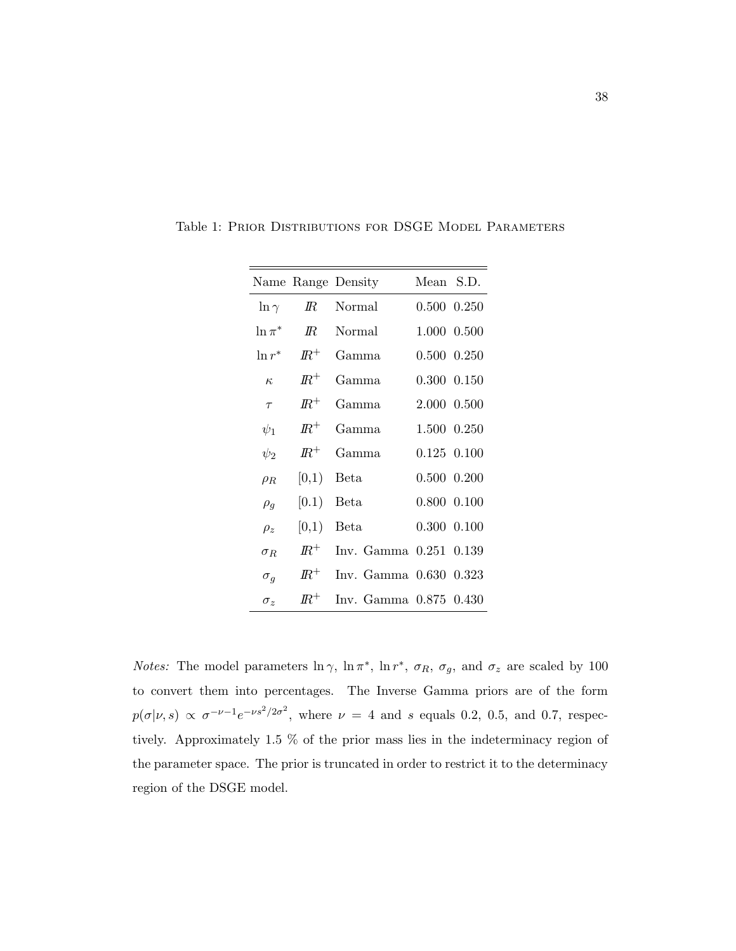|              |            | Name Range Density     | Mean S.D.       |  |
|--------------|------------|------------------------|-----------------|--|
| $\ln \gamma$ | $I\!\!R$   | Normal                 | 0.500 0.250     |  |
| $\ln \pi^*$  | $I\!\!R$   | Normal                 | 1.000 0.500     |  |
| $\ln r^*$    | $I\!\!R^+$ | Gamma                  | 0.500 0.250     |  |
| $\kappa$     | $I\!\!R^+$ | Gamma                  | 0.300 0.150     |  |
| $\tau$       | $I\!\!R^+$ | Gamma                  | 2.000 0.500     |  |
| $\psi_1$     | $I\!\!R^+$ | Gamma                  | 1.500 0.250     |  |
| $\psi_2$     | $I\!R^+$   | Gamma                  | $0.125$ $0.100$ |  |
| $\rho_R$     | [0,1)      | Beta                   | 0.500 0.200     |  |
| $\rho_g$     | [0.1)      | Beta                   | 0.800 0.100     |  |
| $\rho_z$     | [0,1)      | Beta                   | $0.300$ $0.100$ |  |
| $\sigma_R$   | $I\!\!R^+$ | Inv. Gamma 0.251 0.139 |                 |  |
| $\sigma_g$   | $I\!\!R^+$ | Inv. Gamma 0.630 0.323 |                 |  |
| $\sigma_z$   | $I\!\!R^+$ | Inv. Gamma 0.875 0.430 |                 |  |

Table 1: Prior Distributions for DSGE Model Parameters

*Notes:* The model parameters  $\ln \gamma$ ,  $\ln \pi^*$ ,  $\ln r^*$ ,  $\sigma_R$ ,  $\sigma_g$ , and  $\sigma_z$  are scaled by 100 to convert them into percentages. The Inverse Gamma priors are of the form  $p(\sigma|\nu, s) \propto \sigma^{-\nu-1} e^{-\nu s^2/2\sigma^2}$ , where  $\nu = 4$  and s equals 0.2, 0.5, and 0.7, respectively. Approximately 1.5 % of the prior mass lies in the indeterminacy region of the parameter space. The prior is truncated in order to restrict it to the determinacy region of the DSGE model.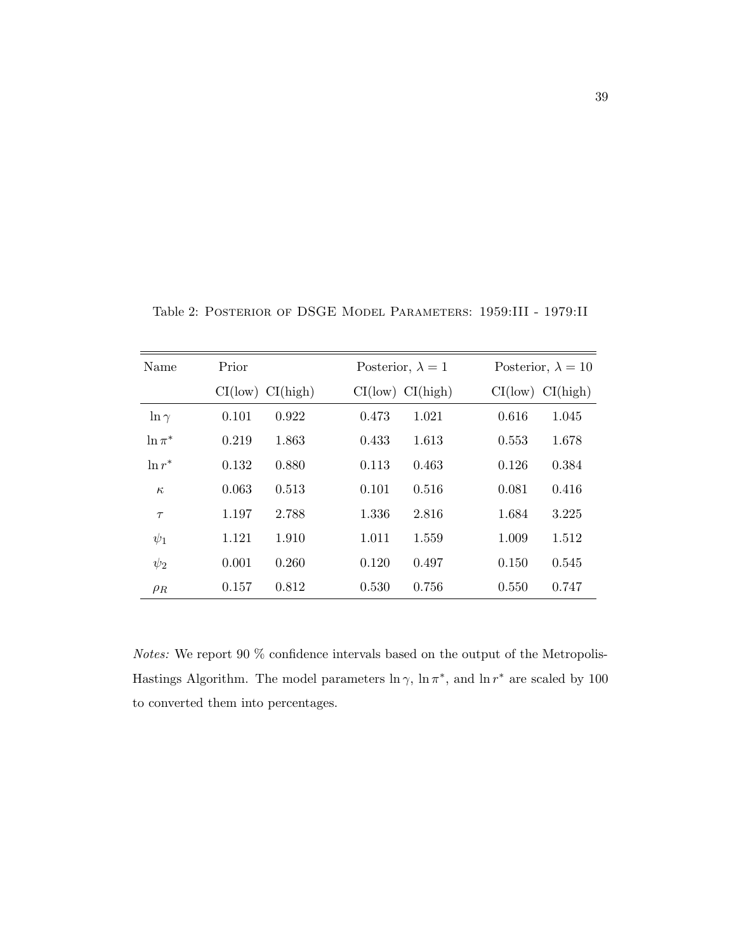| Name         | Prior            | Posterior, $\lambda = 1$ | Posterior, $\lambda = 10$ |  |  |
|--------------|------------------|--------------------------|---------------------------|--|--|
|              | CI(low) CI(high) | CI(low) CI(high)         | CI(low) CI(high)          |  |  |
| $\ln \gamma$ | 0.101            | 1.021                    | 0.616                     |  |  |
|              | 0.922            | 0.473                    | 1.045                     |  |  |
| $\ln \pi^*$  | 0.219            | 0.433                    | 1.678                     |  |  |
|              | 1.863            | 1.613                    | 0.553                     |  |  |
| $\ln r^*$    | 0.132            | 0.463                    | 0.384                     |  |  |
|              | 0.880            | 0.113                    | 0.126                     |  |  |
| $\kappa$     | 0.063            | 0.101                    | 0.081                     |  |  |
|              | 0.513            | 0.516                    | 0.416                     |  |  |
| $\tau$       | 2.788            | 1.336                    | 1.684                     |  |  |
|              | 1.197            | 2.816                    | 3.225                     |  |  |
| $\psi_1$     | 1.910            | 1.011                    | 1.009                     |  |  |
|              | 1.121            | 1.559                    | 1.512                     |  |  |
| $\psi_2$     | 0.260            | 0.120                    | 0.150                     |  |  |
|              | 0.001            | 0.497                    | 0.545                     |  |  |
| $\rho_R$     | 0.812            | 0.530                    | 0.550                     |  |  |
|              | 0.157            | 0.756                    | 0.747                     |  |  |

Table 2: Posterior of DSGE Model Parameters: 1959:III - 1979:II

*Notes:* We report 90  $\%$  confidence intervals based on the output of the Metropolis-Hastings Algorithm. The model parameters  $\ln \gamma$ ,  $\ln \pi^*$ , and  $\ln r^*$  are scaled by 100 to converted them into percentages.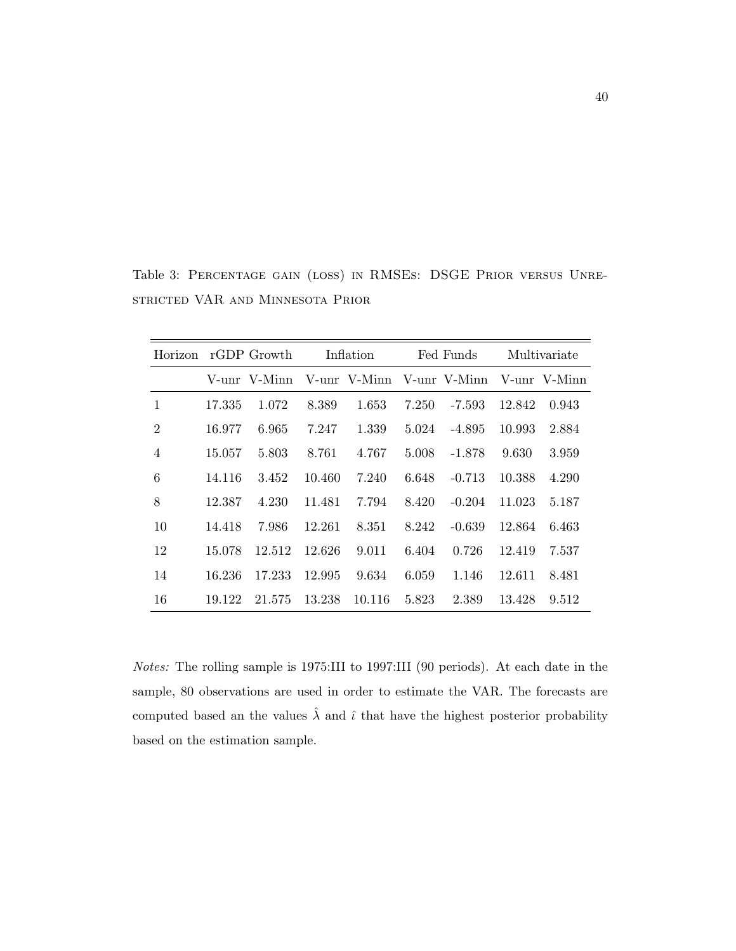| Horizon        | rGDP Growth |              | Inflation |                           | Fed Funds |          | Multivariate |              |
|----------------|-------------|--------------|-----------|---------------------------|-----------|----------|--------------|--------------|
|                |             | V-unr V-Minn |           | V-unr V-Minn V-unr V-Minn |           |          |              | V-unr V-Minn |
| 1              | 17.335      | 1.072        | 8.389     | 1.653                     | 7.250     | -7.593   | 12.842       | 0.943        |
| $\overline{2}$ | 16.977      | 6.965        | 7.247     | 1.339                     | 5.024     | $-4.895$ | 10.993       | 2.884        |
| $\overline{4}$ | 15.057      | 5.803        | 8.761     | 4.767                     | 5.008     | $-1.878$ | 9.630        | 3.959        |
| 6              | 14.116      | 3.452        | 10.460    | 7.240                     | 6.648     | $-0.713$ | 10.388       | 4.290        |
| 8              | 12.387      | 4.230        | 11.481    | 7.794                     | 8.420     | $-0.204$ | 11.023       | 5.187        |
| 10             | 14.418      | 7.986        | 12.261    | 8.351                     | 8.242     | $-0.639$ | 12.864       | 6.463        |
| 12             | 15.078      | 12.512       | 12.626    | 9.011                     | 6.404     | 0.726    | 12.419       | 7.537        |
| 14             | 16.236      | 17.233       | 12.995    | 9.634                     | 6.059     | 1.146    | 12.611       | 8.481        |
| 16             | 19.122      | 21.575       | 13.238    | 10.116                    | 5.823     | 2.389    | 13.428       | 9.512        |

Table 3: Percentage gain (loss) in RMSEs: DSGE Prior versus Unrestricted VAR and Minnesota Prior

Notes: The rolling sample is 1975:III to 1997:III (90 periods). At each date in the sample, 80 observations are used in order to estimate the VAR. The forecasts are computed based an the values  $\hat{\lambda}$  and  $\hat{\iota}$  that have the highest posterior probability based on the estimation sample.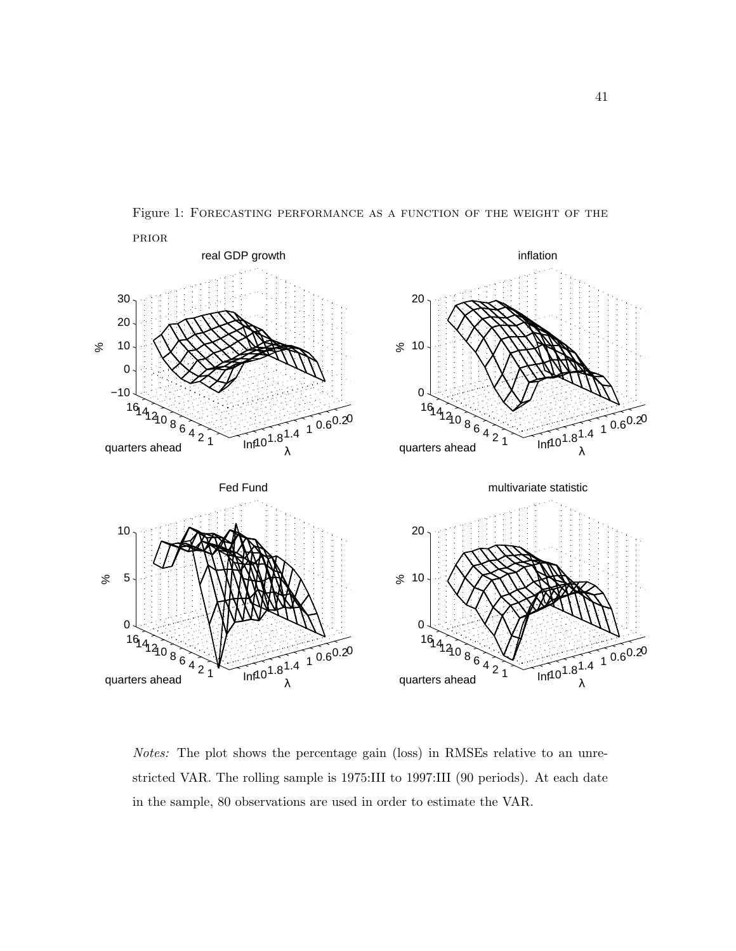

Figure 1: Forecasting performance as a function of the weight of the

Notes: The plot shows the percentage gain (loss) in RMSEs relative to an unrestricted VAR. The rolling sample is 1975:III to 1997:III (90 periods). At each date in the sample, 80 observations are used in order to estimate the VAR.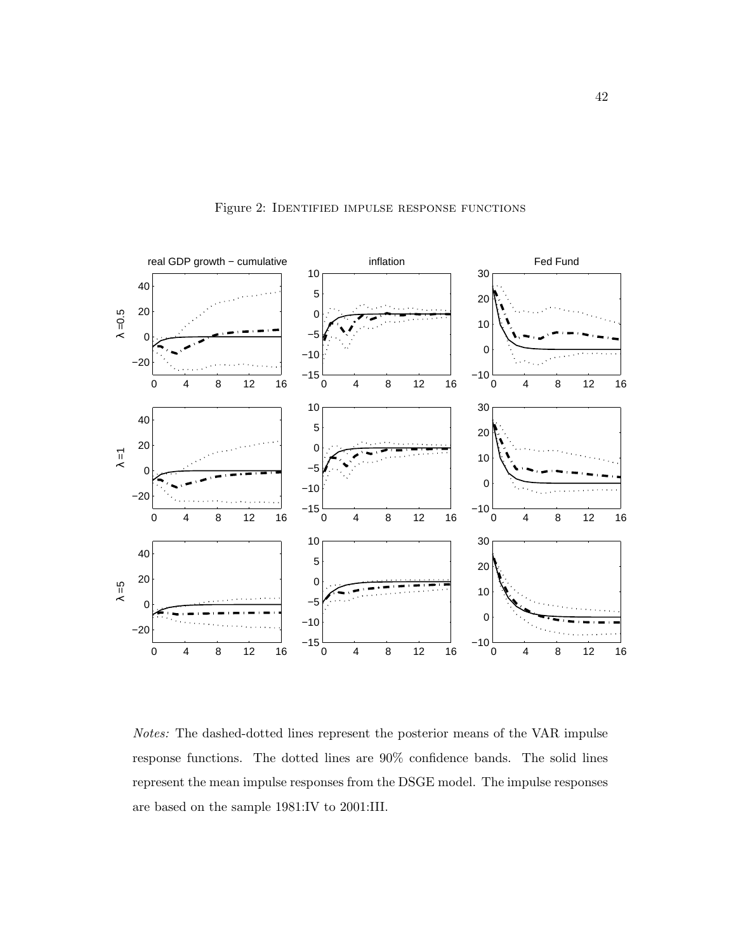

Figure 2: Identified impulse response functions

Notes: The dashed-dotted lines represent the posterior means of the VAR impulse response functions. The dotted lines are 90% confidence bands. The solid lines represent the mean impulse responses from the DSGE model. The impulse responses are based on the sample 1981:IV to 2001:III.